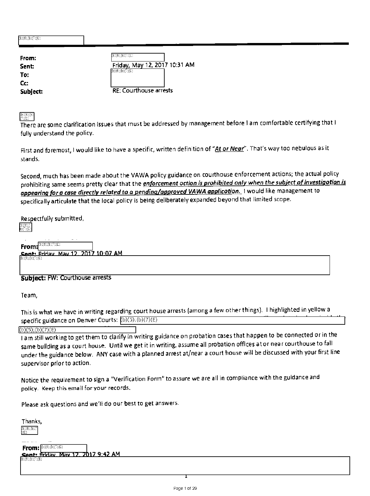| (b)(6);(b)(7)(C) |                                                                   |
|------------------|-------------------------------------------------------------------|
| From:            | $\mathfrak{b}(\mathfrak{b};\mathfrak{b})\mathfrak{c}(\mathbb{C})$ |
| <b>Sent:</b>     | Friday, May 12, 2017 10:31 AM                                     |
| To:              | $E_1(E)$ $E_2(E)$ $C_3(E)$                                        |
| Cc:              |                                                                   |
| Subject:         | <b>RE: Courthouse arrests</b>                                     |
|                  |                                                                   |

(b)(6);(b)<br>C):(C)

There are some clarification issues that must be addressed by management before lam comfortable certifying that I fully understand the policy.

First and foremost, I would like to have a specific, written definition of "At or Near". That's way too nebulous as it stands.

Second, much has been made about the VAWA policy guidance on courthouse enforcement actions; the actual policy prohibiting same seems pretty clear that the *enforcement oction is prohibited only when the subject of investigotion is* appearing for a case directly related to a pending/approved VAWA applicotion. I would like management to specifically articulate that the local policy is being deliberately expanded beyond that limited scope.

Respectfully submitted,

b)(6);(<br>)(7);(C

From: **BEGER**ER

**Cant.** Friday May 17 2017 10.07 AM

## Subject: FW: Courthouse arrests

Team,

This is what we have in writing regarding court house arrests (among a few other things). I highlighted in yellow a specific guidance on Denver Courts: (b)(5);(b)(7)(E)

 $(b)(5);(b)(7)(E)$ 

lam still working to get them to clarify in writing guidance on probation cases that happen to be connected or in the same building as a court house. Until we get it in writing, assume all probation offices at or near courthouse to fall under the guidance below. ANY case with a planned arrest at/near a court house will be discussed with your first line supervisor prior to action.

Notice the requirement to sign a "Verification Form" to assure we are all in compliance with the guidance and policy. Keep this email for your records.

Please ask questions and we'll do our best to get answers.

Thanks,  $\mathfrak{D}(\mathfrak{G})\subset \mathfrak{D}$ 

From: **BEOGROUP** <u>Sent: Friday, May 12, 2017 9:42 AM</u>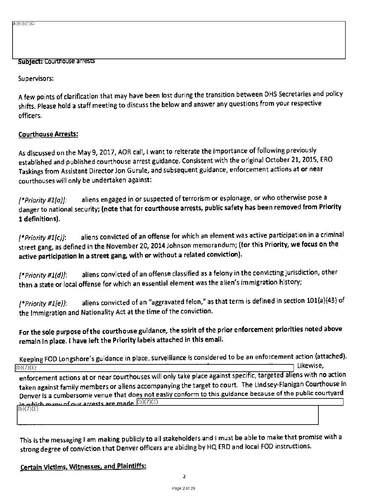$\overline{b}$  and  $\overline{b}$ 

#### Subject: Courthouse arrests

Supervisors:

A few points of clarification that may have been lost during the transition between DHS Secretaries and policy shifts. Please hold a staff meeting to discuss the below and answer any questions from your respective officers.

#### Courthouse Arrests:

As discussed on the May 9,2017, AOR call, I want to reiterate the importance of following previously established and published courthouse arrest guidance. Consistent with the original October 21, 2015, ERO Taskings from Assistant Director Jon Gurule, and subsequent guidance, enforcement actions at or near courthouses will only be undertaken against:

*[\*Priority #1(a)]:* aliens engaged in or suspected of terrorism or espionage, or who otherwise pose a danger to national security; (note that for courthouse arrests, public safety has been removed from Priority 1 definitions).

*(\*Priority ItlIca:* aliens convicted of an offense for which an element was active participation in a criminal street gang, as defined in the November 20, 2014 Johnson memorandum; (for this Priority, we focus on the active participation in a street gang, with or without a related conviction).

*[\*Priority #1(d)t* aliens convicted of an offense classified as a felony in the convicting jurisdiction, other than a state or local offense for which an essential element was the alien's immigration history;

*[\*Priority #1(e)]:* aliens convicted of an "aggravated felon," as that term is defined in section 101(a)(43) of the Immigration and Nationality Act at the time of the conviction.

For the sole purpose of the courthouse guidance, the spirit of the prior enforcement priorities noted above remain in place. I have left the Priority labels attached in this email.

Keeping FOD Longshore's guidance in place, surveillance is considered to be an enforcement action (attached).<br>  $\frac{1}{2}$  Likewise.  $(b)(7)(E)$  Likewise,

enforcement actions at or near courthouses will only take place against specific, targeted aliens with no action taken against family members or aliens accompanying the target to court. The Lindsey-Flanigan Courthouse in Denver is a cumbersome venue that does not easily conform to this guidance because of the public courtyard in which many of our arrests are made.  $\ket{{\rm (b)(7)(\overline{E})}}$ 

(b)(7)(E)

This is the messaging lam making publicly to all stakeholders and I must be able to make that promise with a strong degree of conviction that Denver officers are abiding by HQ ERO and local FOD instructions.

Certain Victims, Witnesses, and Plaintiffs: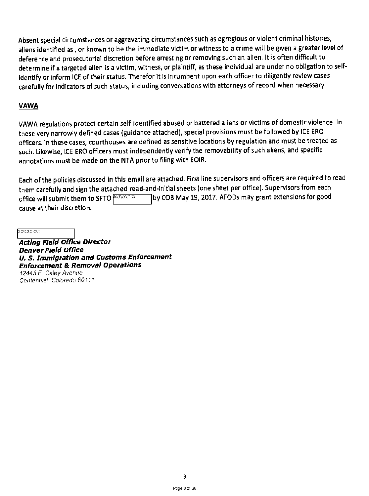Absent special circumstances or aggravating circumstances such as egregious or violent criminal histories, aliens identified as , or known to be the immediate victim or witness to a crime will be given a greater level of deference and prosecutorial discretion before arresting or removing such an alien. It is often difficult to determine if a targeted alien is a victim, witness, or plaintiff, as these individual are under no obligation to selfidentify or inform ICE of their status. Therefor it is incumbent upon each officer to diligently review cases carefully for indicators of such status, including conversations with attorneys of record when necessary.

## **VAWA**

VAWA regulations protect certain self-identified abused or battered aliens or victims of domestic violence. In these very narrowly defined cases (guidance attached), special provisions must be followed by ICE ERO officers. In these cases, courthouses are defined as sensitive locations by regulation and must be treated as such. Likewise, ICE ERO officers must independently verify the removability of such aliens, and specific annotations must be made on the NTA prior to filing with EOIR.

Each of the policies discussed in this email are attached. First line supervisors and officers are required to read them carefully and sign the attached read-and-initial sheets (one sheet per office). Supervisors from each office will submit them to SFTO **BEGINES 3** by COB May 19, 2017. AFODs may grant extensions for good cause at their discretion.

 $\textcolor{black}{\textbf{(b)(6)(b)(7)(C)}}$ 

**Acting Field Office Director Denver Field Office U. S. Immigration and Customs Enforcement Enforcement & Removal Operations**  *12445 E.* Caley *Avenue Centennial Colorado 80111*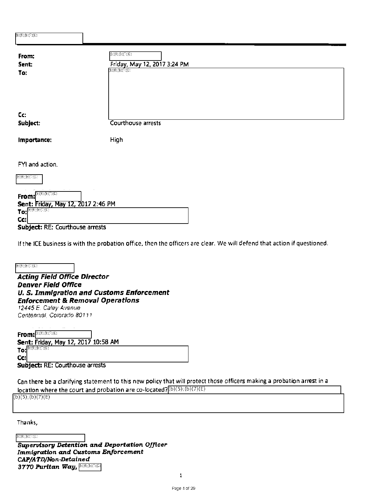| $E(G;E)\subseteq E(G)$<br>Friday, May 12, 2017 3:24 PM<br><b>GREGORIA</b> |
|---------------------------------------------------------------------------|
| Courthouse arrests                                                        |
| High                                                                      |
| Sent: Friday, May 12, 2017 2:46 PM                                        |
|                                                                           |

**Subject:** RE: Courthouse arrests

If the ICE business is with the probation office, then the officers are clear. We will defend that action if questioned.

 $E(E;E;E)$ 

**Acting Field Office Director Denver Field Office U. S. Immigration and Customs Enforcement Enforcement & Removal Operations**  *12445 E Caley Avenue Centennial, Colorado 80111* 

From: **BIOGEREE** 

**Sent:** Friday, May 12, 2017 10:58 AM **To:** 

**Cc: Subject:** RE: Courthouse arrests

Can there be a clarifying statement to this new policy that will protect those officers making a probation arrest in a location where the court and probation are co-located?  $(D(5),(D)(7)(E)$ 

 $(b)(5)$ ;(b)(7)(E)

Thanks,

 $\mathfrak{B}(\mathfrak{b};\mathfrak{b})\mathfrak{S}(\mathbb{C})$ 

1;(6; *3770 Puritan Way, Supervisory Detention and Deportation Officer Immigration and Customs Enforcement CAP/ATD/Non-Detained*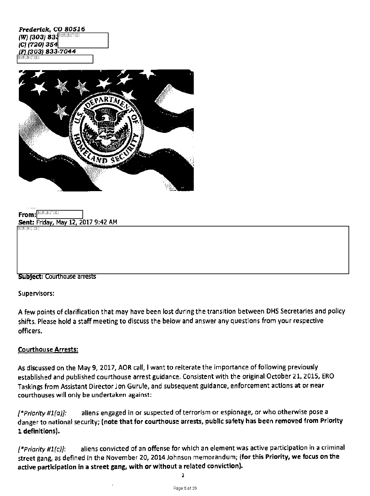| Frederick, CO 80516             |  |
|---------------------------------|--|
| (W) (303) 834 <sup>006000</sup> |  |
| $(C)$ (720) 354                 |  |
| (F) (303) 833-7044              |  |
| (E)(6);E)(F)(C)                 |  |



| $From: x^{\text{(b)}(0), \text{(b)}(0), \text{(c)}}$ |  |                                    |
|------------------------------------------------------|--|------------------------------------|
|                                                      |  | Sent: Friday, May 12, 2017 9:42 AM |
| (b)(6):(b)(7)(C)                                     |  |                                    |
|                                                      |  |                                    |
|                                                      |  |                                    |
|                                                      |  |                                    |

#### **Subject:** Courthouse arrests

Supervisors:

A few points of clarification that may have been lost during the transition between DHS Secretaries and policy shifts. Please hold a staff meeting to discuss the below and answer any questions from your respective officers.

#### **Courthouse Arrests:**

As discussed on the May 9, 2017, AOR call, I want to reiterate the importance of following previously established and published courthouse arrest guidance. Consistent with the original October 21, 2015, ERO Taskings from Assistant Director Jon Gurule, and subsequent guidance, enforcement actions **at or near**  courthouses will only be undertaken against:

*(\*Priority #1(o)]:* aliens engaged in or suspected of terrorism or espionage, or who otherwise pose a danger to national security; **(note that for courthouse arrests, public safety has been removed from Priority 1 definitions).** 

*(\*Priority 111(c)1:* aliens convicted of an offense for which an element was active participation In a criminal street gang, as defined in the November 20, 2014 Johnson memorandum; **(for this Priority, we focus on the**  active participation in a street gang, with or without a related conviction).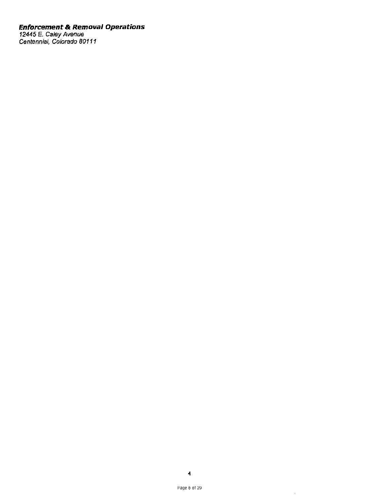#### **Enforcement & Removal Operations**

*12445 E. Caley Avenue Centennial,* Colorado *80111*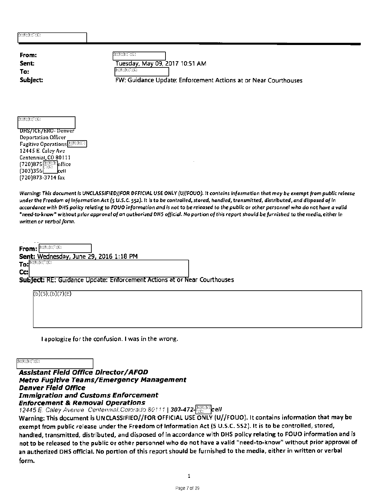| From:                                                          | $E(\Phi)(\Phi)(\bar{C})(\bar{C})$                               |
|----------------------------------------------------------------|-----------------------------------------------------------------|
| Sent:                                                          | Tuesday, May 09, 2017 10:51 AM<br>(b)(6);(b)(C)(C)              |
| To:<br>Subject:                                                | FW: Guidance Update: Enforcement Actions at or Near Courthouses |
|                                                                |                                                                 |
| $E(G;E)\rightarrow E(G;E)$                                     |                                                                 |
| DHS/ICE/ERO-Denver                                             |                                                                 |
| <b>Deportation Officer</b>                                     |                                                                 |
| <b>Fugitive Operations</b><br>12445 E. Caley Ave               |                                                                 |
| Centennial, CO 80111                                           |                                                                 |
| $(720)875$ <sup>(a)(b)</sup> $\Omega$ ffice<br>$[303]356$ cell |                                                                 |
| (720)873-3714 fax                                              |                                                                 |

Warning: This document **is** *UNCLASSIFIED//FOR* **OFFICIAL USE** ONLY (WIFOU0). **It** contains Information **that** may be exempt from public release **under** the Freedom of **Information** Act (5 U.S.C. 552). **It is** to be controlled, **stored,** handled, transmitted, distributed, and disposed of In accordance with OHS policy relating **to FOUO information** and is not **to** be released **to** the public **or other personnel who do not have** a valid "need-to-know" without prior approval of **an authorized OHS** official. **No portion of this report** should be furnished **to** the media, either In written or verbol form.

From: **BROKER** Sent: Wednesday, June 29, 2016 1:18 PM

To: **EXECUTE** Cc:

Subject: RE: Guidance Update: Enforcement Actions at or Near Courthouses

| $(b)(5)$ ;(b)(7)(E) |  |  |
|---------------------|--|--|
|                     |  |  |
|                     |  |  |

I apologize for the confusion. I was in the wrong.

 $\mathbb{C}(\mathbb{C};\mathbb{C};\mathbb{C})$ 

**Assistant Field Office Director/AFOD Metro Fugitive Teams/Emergency Management Denver Field Office Immigration and Customs Enforcement Enforcement & Removal Operations** 

12445 E. Caley Avenue Centermal Colorado 80111 | 303-472- (c) cell

Warning: This document is UNCLASSIFIEO//FOR OFFICIAL USE ONLY (U//FOUO). It contains information that may be exempt from public release under the Freedom of Information Act (5 U.S.C. 552). It is to be controlled, stored, handled, transmitted, distributed, and disposed of in accordance with DHS policy relating to FOUO information and is not to be released to the public or other personnel who do not have a valid "need-to-know" without prior approval of an authorized DHS official. No portion of this report should be furnished to the media, either in written or verbal form.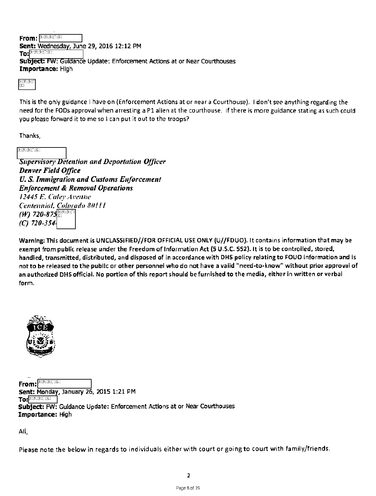**From:** *<u><b>Exercise*</u>

**Sent:** Wednesday,June 29 2016 12:12 PM

**To:** 

**Subject: FW: Guidance Update: Enforcement Actions at or Near Courthouses Importance:** High

b)(6);(b);<br>(C)

This is the only guidance I have on (Enforcement Actions at or near a Courthouse). I don't see anything regarding the need for the FODs approval when arresting a P1 alien at the courthouse. If there is more guidance stating as such could you please forward it to me so I can put it out to the troops?

Thanks,

 $\mathfrak{B}(\mathfrak{G})\text{:}\mathfrak{B}(\mathbb{C})\text{:}\mathbb{C}$  ):

**Supervisory Detention and Deportation Officer** Denver Field Office U. S. Immigration and Customs Enforcement Enforcement & Removal Operations 12445 E. Cider Avenue Centennial, Colorado 80111 (W) 720-875 (C) 720-354

Warning: This document is UNCLASSIFIED//FOR OFFICIAL USE ONLY (U//FDUO). It contains information that may be exempt from public release under the Freedom of Information Act (5 U.S.C. 552). It is to be controlled, stored, handled, transmitted, distributed, and disposed of in accordance with OHS policy relating to FOUO information and is not to be released to the public or other personnel who do not have a valid "need-to-know" without prior approval of an authorized DHS official. No portion of this report should be furnished to the media, either in written or verbal form.



From: <sup>[1262</sup>(B)(D)(C) **Sent: Monday, January 26, 2015 1:21 PM To Subject:** FW: Guidance Update: Enforcement Actions at or Near Courthouses **Importance:** High

All,

Please note the below in regards to individuals either with court or going to court with family/friends.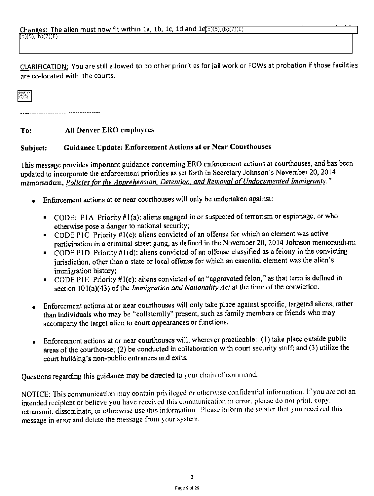CLARIFICATION: You are still allowed to do other priorities for jail work or FOWs at probation if those facilities are co-located with the courts.

b)(6);(b<br>(7)(C)

To: All Denver ERO employees

## Subject: Guidance Update: Enforcement Actions at or Near Courthouses

This message provides important guidance conceming ERO enforcement actions at courthouses, and has been updated to incorporate the enforcement priorities as set forth in Secretary Johnson's November 20, 2014 memorandum, Policies for the Apprehensian, Detention, and Removal of Undocumented Immigrants."

- Enforcement actions at or near courthouses will only be undertaken against:
	- CODE: P IA Priority #1(a): aliens engaged in or suspected of terrorism or espionage, or who otherwise pose a danger to national security;
	- CODE PIC Priority #1(c): aliens convicted of an offense for which an element was active participation in a criminal street gang, as defined in the November 20, 2014 Johnson memorandum;
	- CODE PID Priority #1(d): aliens convicted of an offense classified as a felony in the convicting jurisdiction, other than a state or local offense for which an essential element was the alien's immigration history;
	- CODE PIE Priority #1(e): aliens convicted of an "aggravated felon," as that term is defined in section 101(a)(43) of the *Immigration and Nationality Act* at the time of the conviction.
- Enforcement actions at or near courthouses will only take place against specific, targeted aliens, rather than individuals who may be "collaterally" present, such as family members or friends who may accompany the target alien to court appearances or functions.
- Enforcement actions at or near courthouses will, wherever practicable: (1) take place outside public areas of the courthouse; (2) be conducted in collaboration with court security staff; and (3) utilize the court building's non-public entrances and exits.

Questions regarding this guidance may be directed to your chain of command.

NOTICE: This communication may contain privileged or otherwise confidential information. If you are not an intended recipient or believe you have received this communication in error, please do not print. copy. retransmit, disseminate, or otherwise use this information. Please inform the sender that you received this message in error and delete the message from your system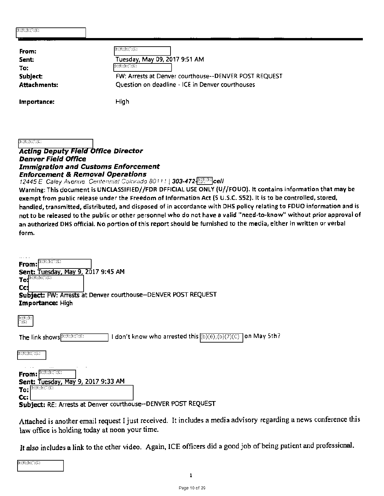| $E(G;E) \subset C(G)$ |                                                       |
|-----------------------|-------------------------------------------------------|
|                       |                                                       |
| From:                 | (E(G);E(G;C))                                         |
| Sent:                 | Tuesday, May 09, 2017 9:51 AM                         |
| To:                   | $E(G;E)\subseteq E(G)$                                |
| Subject:              | FW: Arrests at Denver courthouse--DENVER POST REQUEST |
| Attachments:          | Question on deadline - ICE in Denver courthouses      |
| Importance:           | High                                                  |

 $(t)(6)(t)(7)(C)$ 

#### **Acting Deputy Field Office Director Denver Field Office Immigration and Customs Enforcement Enforcement & Removal Operations**

*12445 E Caley Avenue. Centennial Colorado 80111* | 303-472. **Cell** 

Warning: This document is UNCLASSIFIED//FDR DFFICIAL USE ONLY (U//FOUO). It contains information that may be exempt from public release under the Freedom of Information Act (5 U.S.C. 552). It is to be controlled, stored, handled, transmitted, distributed, and disposed of in accordance with DH5 policy relating to FOU0 information and is not to be released to the public or other personnel who do not have a valid "need-to-know" without prior approval of an authorized DHS official. No portion of this report should be furnished to the media, either in written or verbal form.

| b)(6);(b)(C)(C)<br>From:                                                                                                                     |
|----------------------------------------------------------------------------------------------------------------------------------------------|
| Sent: Tuesday, May 9, 2017 9:45 AM<br>$(E)(6);(E)(\nabla)(C)$<br>To:<br>Cc:<br>Subject: FW: Arrests at Denver courthouse-DENVER POST REQUEST |
| Importance: High                                                                                                                             |
| $(\mathbf{b})(\mathbf{6});\mathbf{b})$<br>ලාල                                                                                                |
| I don't know who arrested this $(b)(6)(b)(7)(c)$<br>]on May 5th?<br>The link shows <b>BREE</b> (B)                                           |
| $E_1(E)E_2(E)$                                                                                                                               |
| b)(6);(b)(7)(C)<br>From:                                                                                                                     |
| Sent: Tuesday, May 9, 2017 9:33 AM<br>$To: \boxed{\text{D}(0), \text{D}(0), \text{D}(0)}$<br>Cc:                                             |

**Subject:** RE: Artebts at Denver courthouse—DENVER POST REQUEST

Attached is another email request I just received. It includes a media advisory regarding a news conference this law office is holding today at noon your time.

It also includes a link to the other video. Again, ICE officers did a good job of being patient and professional.

 $\mathfrak{B}(\mathfrak{B};\mathfrak{B})\mathfrak{C}(\mathbb{C})$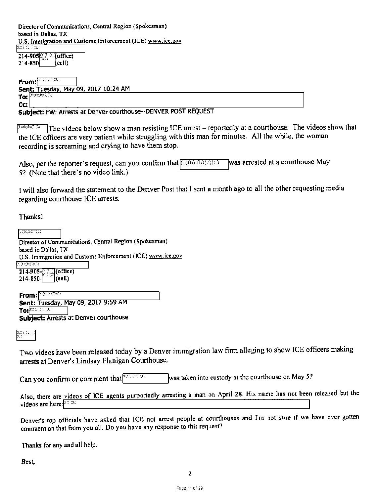Director of Communications, Central Region (Spokesman) based in Dallas, TX U.S. Immigration and Customs Enforcement (ICE) www.ice.gov

 $214-905$  $214-850$  (cell)

**From Sen<u>t: Tuesday, May 09, 2017 10:24 AM</u>** To:  $\left| \begin{smallmatrix} 3\cdot 1 & 0 \\ 0 & 1 \end{smallmatrix} \right| \left. \begin{smallmatrix} 3\cdot 1 & 0 \\ 0 & 1 \end{smallmatrix} \right|$ **Cc:** 

**Subject:** FW: Arrests at Denver courthouse—DENVER POST REQUEST

 $\sqrt{p_{\text{max}}/p_{\text{max}}}$  The videos below show a man resisting ICE arrest – reportedly at a courthouse. The videos show that the ICE officers are very patient while struggling with this man for minutes. All the while, the woman recording is screaming and crying to have them stop.

Also, per the reporter's request, can you confirm that  $(b)(6)(b)(7)(c)$ 5? (Note that there's no video link.) lwas arrested at a courthouse May

I will also forward the statement to the Denver Post that I sent a month ago to all the other requesting media regarding courthouse ICE arrests.

Thanks!

 $\textcolor{black}{\textbf{(b)}}\textcolor{black}{\textbf{(b)}}\textcolor{black}{\textbf{(b)}}\textcolor{black}{\textbf{(c)}}$ Director of Communications, Central Region (Spokesman) based in Dallas, TX U.S. Immigration and Customs Enforcement (ICE) www.ice.gov (b)(6);(b)(T)(C)  $\frac{214-905}{214-850}$ , (office)<br>214-850- $214 - 850 -$ From: **BECONDICT Sent: Tuesday, May 09, 2017 9:59 AM To:** epee 'Pe PC: **Subject:** Arrests at Denver courthouse

menten

Two videos have been released today by a Denver immigration law firm alleging to show ICE officers making arrests at Denver's Lindsay Flanigan Courthouse.

Can you confirm or comment that  $\Box$ <sup>(b)(b)</sup> $\Box$  was taken into custody at the courthouse on May 5?

Also, there are videos of ICE agents purportedly arresting a man on April 28. His name has not been released but the videos are here: **(BICTIE)** 

Denver's top officials have asked that ICE not arrest people at courthouses and I'm not sure if we have ever gotten comment on that from you all. Do you have any response to this request?

Thanks for any and all help.

*Best,*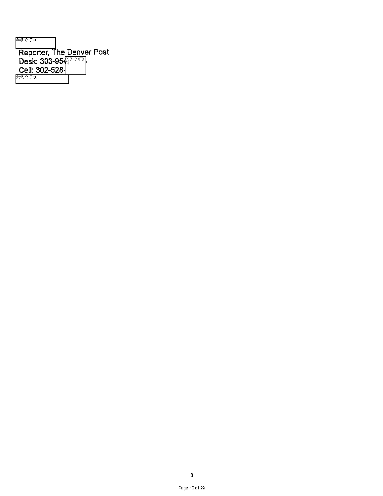| (b)(6):(b)(C)(C)          |  |
|---------------------------|--|
| Reporter, The Denver Post |  |
| Desk: 303-954             |  |
| Cell: 302-528-            |  |
| (b)(6):(b)(C)(C)          |  |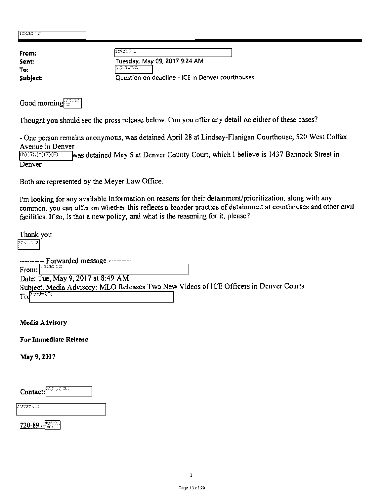| $E_{1}(6);E_{2}(7);C_{1}(6);$<br>− |                                                  |
|------------------------------------|--------------------------------------------------|
| From:                              | E(G;E)(E)(C)                                     |
| Sent:                              | Tuesday, May 09, 2017 9:24 AM                    |
| To:                                | E(E;E;E;G;C)                                     |
| Subject:                           | Question on deadline - ICE in Denver courthouses |

Good morning COOD

Thought you should see the press release below. Can you offer any detail on either of these cases?

- One person remains anonymous, was detained April 28 at Lindsey-Flanigan Courthouse, 520 West Colfax Avenue in Denver<br>(b)(5);(b)(7)(E)

was detained May 5 at Denver County Court, which I believe is 1437 Bannock Street in Denver

Both are represented by the Meyer Law Office.

I'm looking for any available information on reasons for their detainment/prioritization, along with any comment you can offer on whether this reflects a broader practice of detainment at courthouses and other civil facilities. If so, is that a new policy, and what is the reasoning for it, please?

Thank you  $\mathfrak{B}(\mathfrak{b};\mathfrak{b})\oplus\mathfrak{C}$ 

| ---------- Forwarded message ---------                                                |  |
|---------------------------------------------------------------------------------------|--|
| $\mathbf{E}(\mathfrak{b};\mathfrak{b})\mathfrak{S}(\mathbb{C})$<br>From:              |  |
| Date: Tue, May 9, 2017 at 8:49 AM                                                     |  |
| Subject: Media Advisory: MLO Releases Two New Videos of ICE Officers in Denver Courts |  |
| $To^{\{b\},\{b\},\{b\},\{c\},\{C\}}$                                                  |  |

Media Advisory

For Immediate Release

May 9,2017

Contact: **3219512912912** 

 $\overline{\mathbf{13}(\mathbf{5};\mathbf{6};\mathbf{12};\mathbf{7};\mathbf{C})}$ 

720-891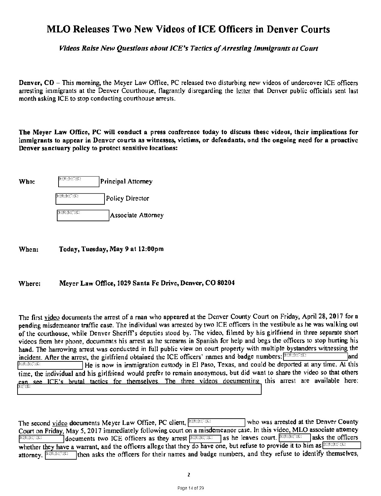# MLO Releases Two New Videos of ICE Officers in Denver Courts

Videos Raise New Questions about ICE's Tactics of Arresting Immigrants at Court

Denver, CO — This morning, the Meyer Law Office, PC released two disturbing new videos of undercover ICE officers arresting immigrants at the Denver Courthouse, flagrantly disregarding the letter that Denver public officials sent last month asking ICE to stop conducting courthouse arrests.

The Meyer Law Office, PC will conduct a press conference today to discuss these videos, their implications for immigrants to appear in Denver courts as witnesses, victims, or defendants, and the ongoing need for a proactive Denver sanctuary policy to protect sensitive locations:

| Who: | $\mathfrak{h}(\mathfrak{b};\mathfrak{b};\mathbb{C})\mathfrak{c}(\mathbb{C})$     | Principal Attorney |
|------|----------------------------------------------------------------------------------|--------------------|
|      | $\mathfrak{g}_{\mathbb{C}}(\mathfrak{g}_{\mathbb{C}};\mathfrak{g}_{\mathbb{C}})$ | Policy Director    |
|      | [0:(6);0:(7)(C)                                                                  | Associate Attorney |

When: Today, Tuesday, May 9 at 12:00pm

#### Where: Meyer Law Office, 1029 Santa Fe Drive, Denver, CO 80204

The first video docurnents the arrest of a rnan who appeared at the Denver County Court on Friday, April 28, 2017 for a pending misdemeanor traffic case. The individual was arrested by two ICE officers in the vestibule as he was walking out of the courthouse, while Denver Sheriff's deputies stood by. The video, filmed by his girlfriend in three separate short videos from her phone, documents his arrest as he screams in Spanish for help and begs the officers to stop hurting his hand. The harrowing arrest was conducted in full public view on court property with multiple bystanders witnessing the incident. After the arrest, the girlfriend obtained the ICE officers' names and badge numbers:  $\left(0.66, 0.06, 0.06\right)$  and  $F^{\text{RSE,BCC}}$  He is now in immigration custody in El Paso, Texas, and could be deported at any time. At this time, the individual and his girlfriend would prefer to remain anonymous, but did want to share the video so that others can see ICE's brutal tactics for themselves. The three videos documenting this arrest are available here:

The second video documents Meyer Law Office, PC client,  $F(6)(0, 6)$  who was arrested at the Denver County Court on Friday, May 5, 2017 immediately following court on a misdemeanor case. In this video, MLO associate attorney  $\frac{\text{p}_1(\text{p}_1, \text{p}_2, \text{p}_3)}{n}$  documents two ICE officers as they arrest  $\frac{\text{p}_2(\text{p}_3, \text{p}_4, \text{p}_5)}{n}$  as he leaves court.  $\frac{\text{p}_3(\text{p}_4, \text{p}_5, \text{p}_6)}{n}$  asks the officers whether they have a warrant, and the officers allege that they do have one, but refuse to provide it to him as  $\frac{(1)(6)(10)(10)}{100}$ then asks the officers for their names and badge numbers, and they refuse to identify themselves, attorney. **(b)**(6);(b)(7)(c)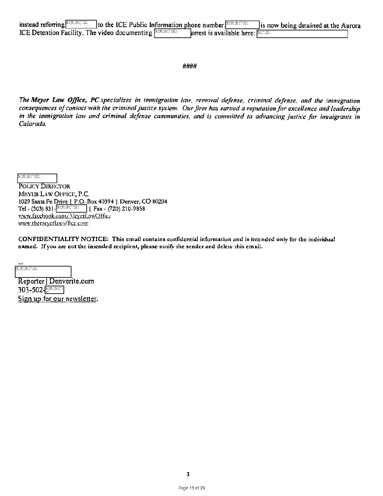| ICE Detention Facility. The video documenting $F(6)(6)(3)(3)$ | <b>arrest is available here:</b> $\sqrt{\text{max}}$ |  |
|---------------------------------------------------------------|------------------------------------------------------|--|

####

The Meyer Law Office, PC specializes in immigration law, removal defense, criminal defense, and the immigration consequences of contact with the criminal justice system. Our firm has earned a reputation for excellence and leadership in the immigration law and criminal defense cammunities, and is committed ta advancing justice for immigrants in Calarada.

 $f_{\mathcal{B}}(\mathfrak{b})\mathfrak{f}_{\mathfrak{b}}(\mathfrak{b})\mathfrak{f}_{\mathfrak{b}}(\mathfrak{c})$ 

POLICY DIRECTOR MEYER LAW OFFICE, P.C. 1029 Santa Fe Drive | P.O. Box 40394 | Denver, CO 80204 Tel - (303) 831- $\frac{\text{P(6)}\oplus \text{P(6)} }{1}$  Fax - (720) 210-9858 www.facebook.com/MeyerLawOffice www.themeyerlawoffice.com

CONFIDENTIALITY NOTICE: This email contains confidential information and is intended only for die individual named. If you are not the intended recipient, please notify the sender and delete this email.

 $\overline{\mathbf{b}}$  ( $\overline{\mathbf{b}}$ )  $\overline{\mathbf{b}}$  ( $\overline{\mathbf{b}}$ )  $\overline{\mathbf{b}}$  ( $\overline{\mathbf{b}}$ )  $\overline{\mathbf{c}}$ 

Reporter I Denverite.com 303-502 <u>हिल्क</u>**ा** Sign up for our newsletter.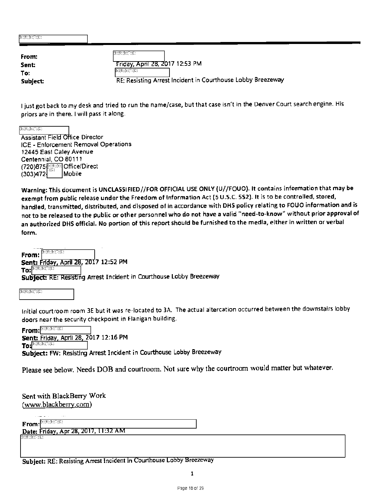| $E(\mathfrak{b};\mathfrak{b})\subset E(\mathbb{C})$ |                                                             |
|-----------------------------------------------------|-------------------------------------------------------------|
| From:                                               | E(E;E;E;C;C)                                                |
| Sent:                                               | Friday, April 28, 2017 12:53 PM                             |
| To:                                                 | $(E)(6)(E)(\nabla)(C)$                                      |
| Subject:                                            | RE: Resisting Arrest Incident in Courthouse Lobby Breezeway |

I just got back to my desk and tried to run the name/case, but that case isn't in the Denver Court search engine. His priors are in there. I will pass it along.

 $\mathfrak{B}(\mathfrak{b});\mathfrak{b}(\mathbb{C})(\mathbb{C})$  .

**Assistant Field Office Director** ICE - Enforcement Removal Operations 12445 East Caley Avenue Centennial, CO80111 (720)875 **Diffice/Direct**<br>(303)472  $(303)472$ 

Warning: This document is UNCLASSIFIED//FOR OFFICIAL USE ONLY (U//FOUO). It contains information that may be exempt from public release under the Freedom of Information Act (5 U.S.C. 552). It is to be controlled, stored, **handled, transmitted, distributed, and disposed of in accordance with DNS policy relating to FOUO information and is not to be released to the public or other personnel who do not have a valid "need-to-know" without prior approval of**  an authorized DHS official. No portion of this report should be furnished to the media, either in written or verbal **form.** 

 ${\bf From:} \stackrel{\text{\rm Re}(6); \text{\rm Re}(7)}{\sim}$ Sent: Friday, April 28, 2017 12:52 PM **To:**  $\frac{\text{log}(6)(3)(3)(3)}{3}$ **Subject: : R**esIsting Arrest **Incident** in **Courthouse Lobby Breezeway** 

 $\overline{\mathbf{b}(\mathbf{6};\mathbf{6};\mathbf{6};\mathbf{7};\mathbf{6})}$ 

Initial courtroom room 3E but it was re-located to 3A. The actual altercation occurred between the downstairs lobby doors near the security checkpoint in Flanigan building.

**From: <sup>1966</sup>/82020**  $\text{Sent: } \overline{\text{Friday, April 28, 2017}}$  12:16 PM<br>**To:** 

**Subject: FW:** Resisting Arrest Incident **in Courthouse** Lobby Breezeway

Please see below. Needs DOB and courtroom. Not sure why the courtroom would matter but whatever.

Sent with BlackBerry Work (www.blackberry.com)

 $\mathbf{From:}^{\mathsf{P200},\mathsf{O21C2}}$ 

**Date. Friday Apr 28 2017** 11.32 AM 1519515P91291

**Subject: RE: Resisting Arrest Incident in** Courthouse Lobby Breezeway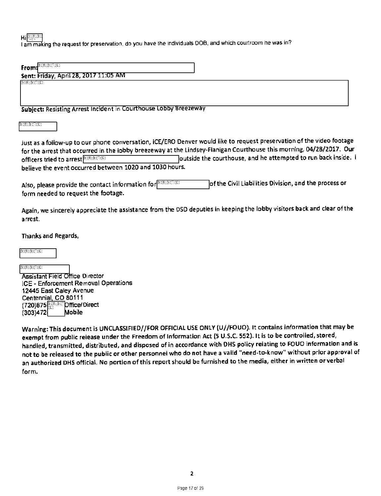Hi<sup>(b)(6)</sup>(b)

lam making the request for preservation, do you have the individuals DOB, and which courtroom he was in?

Subject: Resisting Arrest Incident in Courthouse Lobby Breezeway

1201919101<br>12611920

Just as a follow-up to our phone conversation, ICE/ERO Denver would like to request preservation of the video footage for the arrest that occurred in the lobby breezeway at the Lindsey-Flanigan Courthouse this morning, 04/28/2017. Our officers tried to arrest **present and to a report of the courthouse**, and he attempted to run back inside. I believe the event occurred between 1020 and 1030 hours.

Also, please provide the contact information for **EXERGIST** form needed to request the footage. of the Civil Liabilities Division, and the process or

Again, we sincerely appreciate the assistance from the DSD deputies in keeping the lobby visitors back and clear of the arrest.

Thanks and Regards,

 $\mathfrak{b}(\mathfrak{b};\mathfrak{b})\rightarrow\mathfrak{b}(\mathfrak{c})$ 

 $E(E;E)E(E;E)$ **Assistant Field Office Director** ICE - Enforcement Removal Operations 12445 East Caley Avenue Centennial, CO 80111 (720)875 *Direct* Direct  $(303)472$  Mobile

Warning: This document is UNCLASSIFIED//FOR OFFICIAL USE ONLY (U//FOU0). It contains information that may be exempt from public release under the Freedom of Information Act (5 U.S.C. 552). It is to be controlled, stored, handied, transmitted, distributed, and disposed of in accordance with DHS policy relating to FOUO information and is not to be released to the public or other personnel who do not have a valid "need-to-know" without prior approval of an authorized DHS official. No portion of this report should be furnished to the media, either in written or verbal form.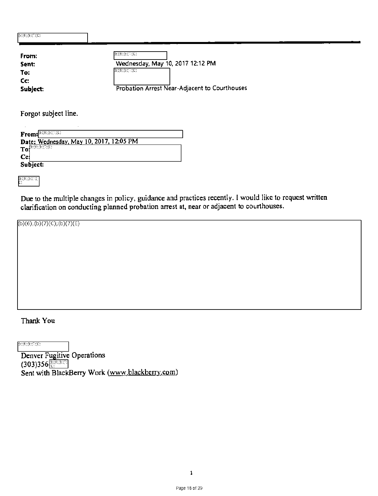| E: (6); E: C: C.                         |                                                                                                                                                                                                                                                                                                                                                                         |
|------------------------------------------|-------------------------------------------------------------------------------------------------------------------------------------------------------------------------------------------------------------------------------------------------------------------------------------------------------------------------------------------------------------------------|
| From:<br>Sent:<br>To:<br>Cc:<br>Subject: | $E_1(6);E_2(7);C_1(8);C_2(9);C_3(10);C_4(10);C_5(10);C_6(10);C_7(10);C_8(10);C_9(10);C_9(10);C_9(10);C_9(10);C_9(10);C_9(10);C_9(10);C_9(10);C_9(10);C_9(10);C_9(10);C_9(10);C_9(10);C_9(10);C_9(10);C_9(10);C_9(10);C_9(10);C_9(10);C_9(10);C_9(10);C_9(10);$<br>Wednesday, May 10, 2017 12:12 PM<br>(E)(6);(E)(7)(C)<br>Probation Arrest Near-Adjacent to Courthouses |

Forgot subject line.

| From: E ORE                             |
|-----------------------------------------|
| Date: Wednesday, May 10, 2017, 12:05 PM |
| $To^{\text{big}}$                       |
| Cci                                     |
|                                         |
| Subject:                                |

 $\overset{(b)(6)}{C}$ 

Due to the multiple changes in policy, guidance and practices recently. I would like to request written clarification on conducting planned probation arrest at, near or adjacent to courthouses.

 $(b)(6),(b)(7)(C),(b)(7)(E)$ 

Thank You

 $E(6)(E(7)(C))$ 

Denver Fugitive Operations  $(303)356$ Sent with BlackBerry Work (www.blackberry.com)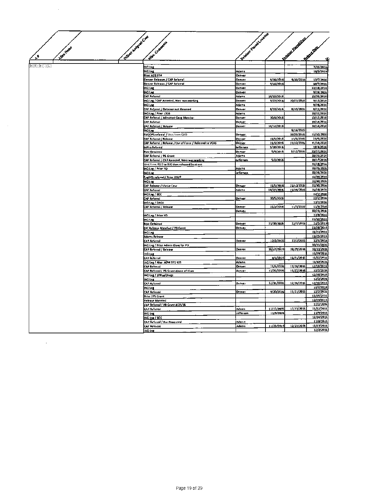|                       |                   |                                                                                               | Between Procedures of New |            |                          |                          |
|-----------------------|-------------------|-----------------------------------------------------------------------------------------------|---------------------------|------------|--------------------------|--------------------------|
|                       | Water Hangue Crat | Water Company                                                                                 |                           |            | Website Pieceline        |                          |
| Alter Heroe           |                   |                                                                                               |                           |            |                          | W. Walker                |
| $\mathbf{r}^{\prime}$ |                   |                                                                                               |                           |            |                          |                          |
|                       |                   |                                                                                               |                           |            |                          | d                        |
| b)(6);(b)(7)(C)       |                   | 40 Los                                                                                        |                           |            |                          | 7/25/2016                |
|                       |                   | <b>140 Los</b>                                                                                | Adams                     |            |                          | 10/5/2016                |
|                       |                   | Prior A20 FTA<br>Denver Releases / CAP Relerral                                               | Draver<br>Othyer          | 9/30/2816  | 9/30/2016                | 10/7/2016                |
|                       |                   | Denver Releases / CAP Referral                                                                | <b>October</b>            | 9/16/2016  |                          | 10/7/2016                |
|                       |                   | IAQ Log                                                                                       | Denver                    |            |                          | 10/18/2016               |
|                       |                   | IACI Log                                                                                      | Denver                    |            |                          | 9/29/2016                |
|                       |                   | CAP Referral                                                                                  | Adems                     | 10/15/2016 |                          | 10/26/2016               |
|                       |                   | IAC) Log / CAP Arrested, West was working<br>وما 40                                           | Demet<br>Adams            | 9/27/2016  | 10/27/2016               | 9/13/2016<br>9/28/2016   |
|                       |                   | AP Referral / Detainer not Honored                                                            | Denver                    | 8/10/2016  | 8/10/2016                | 8/11/2016                |
|                       |                   | MQ Log / Prior 1326                                                                           | Adams                     |            |                          | 10/22/2016               |
|                       |                   | CAP Referral / Admitted Gang Member                                                           | Denver                    | 10/6/2016  |                          | 10/12/2016               |
|                       |                   | AF Referral                                                                                   | Denver                    |            |                          | 10/14/2016               |
|                       |                   | A <u>P Refered / Refease</u>                                                                  | Demet                     | 10/12/2016 | 9/16/2015                | 10/14/2016               |
|                       |                   | <u>йа (ы.</u><br>UGOPS referral / Writ from GEO                                               | Denner                    |            | 10/28/2016               | 11/10/2016               |
|                       |                   | CAP Referral / Referre                                                                        | <b>Denver</b>             | 11/5/2016  | 11/6/2016                | 11/9/2016                |
|                       |                   | CAP Referral / Release / Use of Force / Raferred te VCAS                                      | <b>Deaver</b>             | 11/6/2016  | 21/10/2016               | 11/14/2016               |
|                       |                   | leffco Referral                                                                               | lefferson                 | 5/30/2016  |                          | 18/1/2020                |
|                       |                   | Non-Griained                                                                                  | <b>De nutri</b>           | 5/4/2016   | 5/12/2016                | 10/77/2016               |
|                       |                   | CAP Referral / 96 Grant                                                                       | Adams.                    | \$/2/2016  |                          | 10/26/2016<br>10/17/2016 |
|                       |                   | CAP Referral / CAP Arrested, Weir was working<br>Writ from G2 O to DK then released to street | <b>Jefferson</b>          |            |                          | 11/16/2016               |
|                       |                   | IAQ Log / Prior YD                                                                            | Adams                     |            |                          | 10/25/2016               |
|                       |                   | <b>MQ Los</b>                                                                                 | Jefferson                 |            |                          | 10/26/2016               |
|                       |                   | FugOPS referral / Prior OSUP                                                                  |                           |            |                          | 11/30/2016               |
|                       |                   | <b>HQIOL</b>                                                                                  |                           |            |                          | 11/30/2016               |
|                       |                   | CAP Release / Medie Ceve                                                                      | Denver                    | 11/5/2016  | 11/12/2016<br>11/19/2616 | 11/30/2016<br>11/28/2016 |
|                       |                   | CAP Referral<br>IAQ Log / BCC                                                                 | Adams                     | 10/27/2016 |                          | 12/2/2016                |
|                       |                   | CAP Referral                                                                                  | <b>Denver</b>             | 10/5/2016  |                          | 12/2/2016                |
|                       |                   | MO Log / DACA                                                                                 |                           |            |                          | 12/2/2016                |
|                       |                   | CAP Referral / Release                                                                        | <b>Oenver</b>             | 11/2/2016  | 11/3/2016                | 11/9/2616                |
|                       |                   |                                                                                               | Denver                    |            |                          | 10/25/2016               |
|                       |                   | IAQ Lag / Prior VD                                                                            |                           |            |                          | 12/8/7016<br>11/30/2016  |
|                       |                   | <b>IAQ Log</b><br>Non-Oessined                                                                | Denver                    | 11/30/2016 | 12/1/2016                | 12/5/2016                |
|                       |                   | DIC Release Manifest / PB Grent                                                               | Denver                    |            |                          | 11/21/2016               |
|                       |                   | <b>IAQ Log</b>                                                                                |                           |            |                          | 11/21/2016               |
|                       |                   | Adams Release                                                                                 |                           |            |                          | 11/25/2016               |
|                       |                   | AP Acterral                                                                                   | Denver                    | 12/2/2016  | 12/2/2016                | 12/6/2016<br>10/31/2016  |
|                       |                   | IAQ Lug / Prior Admin Close for PD _<br>CAP Referral / Release                                | Denver                    | 10/27/2016 | 10/29/2016               | 10/11/2018               |
|                       |                   | <b>IAQ Log</b>                                                                                |                           |            |                          | 11/29/2016               |
|                       |                   | CAP Referral                                                                                  | Denver                    | 4/1/2816   | 11/21/2015               | 11/22/2016               |
|                       |                   | IAQ Log / Also: A094 571 919                                                                  | Adwns                     |            |                          | 11/30/2016               |
|                       |                   | CAP Referral                                                                                  | <b>Denver</b>             | 11/5/2016  | 12/18/2016               | 12/19/2016               |
|                       |                   | "AP Referrel/ PB Grant Abuse ef Visas"                                                        | Denver                    | 11/26/2016 | 11/27/2016               | 12/2/28 16<br>12/28/2016 |
|                       |                   | MO Log / LPR se/Drugs<br>MO Log                                                               |                           |            |                          | 17/2/2016                |
|                       |                   | CAP Relerral                                                                                  | Derwer                    | 12/16/2016 | 12/16/2016               | 12/19/2016               |
|                       |                   | MO Log                                                                                        |                           |            |                          | 12/2/2016                |
|                       |                   | CAP Referral                                                                                  | <b>Denver</b>             | 9/20/2016  | 11/11/2016               | 12/2/2016                |
|                       |                   | Prior 2PS Grant                                                                               |                           |            |                          | 11/28/2016               |
|                       |                   | Release Mandest                                                                               |                           |            |                          | 12/29/2016<br>12/2/2016  |
|                       |                   | CAP Referral / PB Grant 8/29/16<br><b>CAP Referral</b>                                        | Adams                     | 11/12/2016 | 12/13/2016               | 11/22/2016               |
|                       |                   | <b>IAQ Log</b>                                                                                | Jefferson                 | 11/9/2016  |                          | 11/9/2016                |
|                       |                   | IAQ Log / BCC                                                                                 |                           |            |                          | 12/14/2016               |
|                       |                   | CAP Referral / Pre-Processed                                                                  | Adzmt                     |            |                          | 11/8/2816                |
|                       |                   | CAP Referred                                                                                  | <b>Adams</b>              | 11/25/2016 | 12/23/2016               | 12/23/2016               |
|                       |                   | <b>IAQ Log</b>                                                                                |                           |            |                          | 12/2/2016                |

 $\sim 10$ 

 $\mathcal{L}^{\text{max}}_{\text{max}}$ 

 $\mathcal{A}^{\mathcal{A}}$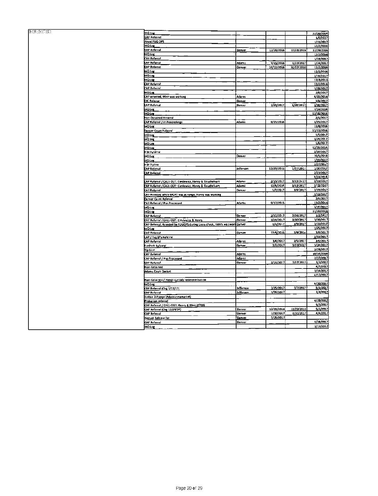| $\overline{\mathbb{G}}(\mathfrak{b};\mathfrak{b})\mathbb{G}(\mathbb{C})$ | IAQ Log                                                                    |               |            |                 | 17/20/2014              |
|--------------------------------------------------------------------------|----------------------------------------------------------------------------|---------------|------------|-----------------|-------------------------|
|                                                                          | <b>CAP Pelerrad</b>                                                        |               |            |                 | 1/9/2017                |
|                                                                          | <b>ASVIST FUG OPS</b>                                                      |               |            |                 |                         |
|                                                                          |                                                                            |               |            |                 | 1/11/2017               |
|                                                                          | <b>MO Lor</b>                                                              |               |            |                 | 12/2/2016               |
|                                                                          | C4P 4eferral                                                               | Denver        | 12/28/2016 | 17/28/2016      | 12/19/2016              |
|                                                                          | 14Q Los                                                                    |               |            |                 | 12/2/2016               |
|                                                                          | <b>AP Refersal</b>                                                         |               |            |                 | 1/19/2017               |
|                                                                          | AP Referrel                                                                | Adama         |            |                 |                         |
|                                                                          |                                                                            |               | 9/23/2016  | 1/23/2017       | 1/24/2017               |
|                                                                          | <b>CAP Referret</b>                                                        | Denver        | 10/12/2016 | 70/12/2016      | 12/2/2016               |
|                                                                          | <b>IAO Los</b>                                                             |               |            |                 | 12/2/2016               |
|                                                                          | iAQ Log                                                                    |               |            |                 | 1/19/2017               |
|                                                                          | AQLOC                                                                      |               |            |                 | 17/8/2016               |
|                                                                          | <b>AP Relectal</b>                                                         |               |            |                 |                         |
|                                                                          |                                                                            |               |            |                 | 12/2/2016               |
|                                                                          | CAP Referral                                                               |               |            |                 | 1/19/2017               |
|                                                                          | <u>ikin Log</u>                                                            |               |            |                 | 2/5/2017                |
|                                                                          | AP arrested, Weir was working                                              | Adams         |            |                 | 4/10/2016               |
|                                                                          | <b>CHC Reloase</b>                                                         | Denver        |            |                 | 1/4/2017                |
|                                                                          | <b>CAP Referral</b>                                                        |               |            | U20/2017        | 1/30/2017               |
|                                                                          |                                                                            | Denver        | 1/20/2017  |                 |                         |
|                                                                          | ix <u>a Lor</u>                                                            |               |            |                 | 7/14/2016               |
|                                                                          | u <u>n to</u>                                                              |               |            |                 | 12/15/2016              |
|                                                                          | Nen-Detained Rererral                                                      |               |            |                 | 2/1/2017                |
|                                                                          | AP Referrel / In Proceedings                                               | Adams         | 9/15/2016  |                 | L/25/2017               |
|                                                                          |                                                                            |               |            |                 |                         |
|                                                                          | <b>LAQ Log</b>                                                             |               |            |                 | 12/8/2016               |
|                                                                          | Denver Court Pelecral                                                      |               |            |                 | 12/13/2016              |
|                                                                          | IAQ Log                                                                    |               |            |                 | 1/5/2017                |
|                                                                          | LAQ LA <sub>S</sub>                                                        |               |            |                 | 1/24/2017               |
|                                                                          | <b>AQ Log</b>                                                              |               |            |                 | 1/6/2017                |
|                                                                          |                                                                            |               |            |                 | 12/15/2016              |
|                                                                          | AQ Log                                                                     |               |            |                 |                         |
|                                                                          | i Si Puterral                                                              |               |            |                 | 2/10/2017               |
|                                                                          | AQ Log                                                                     | Denver        |            |                 | 10/5/2018               |
|                                                                          | AQ Log                                                                     |               |            |                 | 1/10/2017               |
|                                                                          | 4 SI Tipline                                                               |               |            |                 | $2/27/20$ <sup>27</sup> |
|                                                                          |                                                                            |               | 12/20/2016 | 1/27/2017       | 1/30/2012               |
|                                                                          | AP Referrel                                                                | Jefferson     |            |                 |                         |
|                                                                          | <b>CAP Auferrel</b>                                                        |               |            |                 | 2/23/2017               |
|                                                                          |                                                                            |               |            |                 | 5/23/2016               |
|                                                                          | CAP Raferral / CALL-OUT: Cieslewicz, Henry & Tituchelvem                   | <b>Adams</b>  | 2/15/2017  | $3/13/2$ e $17$ | 1/13/2017               |
|                                                                          | CAP Acterral / CALL-OUT: Ciestewicz, Henry & Tiruchelvam                   | Adamt         | 12/6/2014  | 3/13/2017       | 3/13/2017               |
|                                                                          |                                                                            |               |            |                 |                         |
|                                                                          | AP Referred                                                                | Denver        | 1/7/2017   | 3/9/2017        | 3/13/2017               |
|                                                                          | CAP Arrested while MCAT was at range, Hanry was working                    |               |            |                 | 3/13/2017               |
|                                                                          | Denver Causti Referred                                                     |               |            |                 | 2/6/2017                |
|                                                                          | CAP Referral / Pre-Processed                                               | Adams         | 9/17/2015  |                 | 12/2/2016               |
|                                                                          |                                                                            |               |            |                 | 1/14/2017               |
|                                                                          | ulQ Log                                                                    |               |            |                 |                         |
|                                                                          | AQ LOS                                                                     |               |            |                 | 12/20/2016              |
|                                                                          | CAP Relevai                                                                | De nver       | 2/70/2017  | 2/26/2017       | 3/3/2417                |
|                                                                          | CAP Referral / CALL-OUT: Cinstewicz & Menry                                | Denver        | 3/29/2017  | 3/30/2017       | 3/30/2017               |
|                                                                          | CAP Referral, Arrested by FUGOPS during Cross check, Henry was work Denver |               | 1/6/2017   | 3/9/2017        | 3/10/2012               |
|                                                                          |                                                                            |               |            |                 | 2/25/2017               |
|                                                                          | IAO Log                                                                    |               |            |                 |                         |
|                                                                          | LAP Referrel                                                               | Denver        | 12/3/2015  | 7/9/201e        | 3/9/2017                |
|                                                                          | CAP / Fug OPs Referral                                                     |               |            |                 | 2/23/2017               |
|                                                                          | AP Referral                                                                | adams         | 3/4/2017   | 3/5/2017        | 3/6/2017                |
|                                                                          | Fredrick <u>Referent</u>                                                   | Denver        | 3/7/2017   | 3/23/2017       | 3/2+/2017               |
|                                                                          |                                                                            |               |            |                 |                         |
|                                                                          | Tip-Line                                                                   |               |            |                 | 3/29/2017               |
|                                                                          | CAP Referrel                                                               | Adems.        |            |                 | 10/14/2016              |
|                                                                          | AP Referral / Pre-Processed                                                | Adama         |            |                 | 2/27/2017               |
|                                                                          | <b>CAP Refersal</b>                                                        | <b>Denver</b> | 1/18/2017  | 7/27/2017       | 3/3/2017                |
|                                                                          |                                                                            |               |            |                 | 4/7/2017                |
|                                                                          | Non-Octained                                                               |               |            |                 |                         |
|                                                                          | Adams Court Docket                                                         |               |            |                 | 3/14/2017               |
|                                                                          |                                                                            |               |            |                 | 4/13/2017               |
|                                                                          | Non-Gelained / Heod2 cut1ody redelermination                               |               |            |                 |                         |
|                                                                          |                                                                            |               |            |                 | A/20/2017               |
|                                                                          |                                                                            |               |            |                 |                         |
|                                                                          | <b>IAD Leg</b>                                                             |               |            |                 |                         |
|                                                                          | RP Referral (Org 1/13/17)                                                  | Jeffersan     | 2/25/2017  | 3/7/2017        | 5/1/2017                |
|                                                                          | AP Referral                                                                | Jelferson     | 1/16/2017  |                 | 1/1/2017                |
|                                                                          | Justice 2change (Adams release tial)                                       |               |            |                 |                         |
|                                                                          |                                                                            |               |            |                 | 4/28/2012               |
|                                                                          | fatter noisself                                                            |               |            |                 |                         |
|                                                                          | AP Referral / CALL-OU7: Henry 6 Weit (0700)                                |               |            |                 | \$/3/2017               |
|                                                                          | CAP Referral (Org 12/29/24)                                                | <b>Denver</b> | 12/20/2016 | 12/23/2016      | 5/1/2017                |
|                                                                          | AP Referral                                                                | Denver        | 3/30/2017  | 3/31/2017       | 4/4/2017                |
|                                                                          | Denvet Releese Hst                                                         | <b>Denves</b> | 3/25/2017  |                 |                         |
|                                                                          |                                                                            |               |            |                 | 4/28/2017               |
|                                                                          | <b>AP Referral</b><br><b>IAO</b> Lor                                       | <b>Denver</b> |            |                 | 3/13/2012               |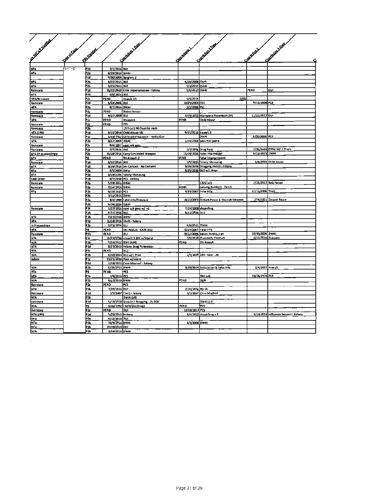| Accidentalist        |                   |                   |                   |                                        |                             |                                            |                    |                                      |
|----------------------|-------------------|-------------------|-------------------|----------------------------------------|-----------------------------|--------------------------------------------|--------------------|--------------------------------------|
|                      |                   |                   |                   | <b>Sandwich Dag</b>                    |                             | Contribution Dave                          |                    | Felixing Line                        |
|                      | <b>Flash Case</b> | <b>SEP BARBAY</b> |                   |                                        |                             |                                            |                    |                                      |
|                      |                   |                   |                   |                                        |                             |                                            |                    |                                      |
|                      |                   |                   |                   |                                        |                             |                                            |                    |                                      |
|                      |                   |                   |                   |                                        | <b>Spaintings</b>           |                                            | Consisting L       |                                      |
|                      |                   |                   |                   |                                        |                             |                                            |                    |                                      |
| NTA                  | E(G,E)            | P2d               | 7/1/2016 DUI      |                                        |                             |                                            |                    |                                      |
| <b>NTA</b>           |                   | P2d               | 8/29/2016 BWAI    |                                        |                             |                                            |                    |                                      |
|                      |                   | Pld               |                   | 9/30/2009 Burglary 2                   |                             |                                            |                    |                                      |
| <b>NTA</b>           |                   | P2b               | 4/22/2015 DUI     |                                        | 6/16/2008 Theft             |                                            |                    |                                      |
| MTA                  |                   | P2b               | 9/15/2016 DUI     |                                        | 5/1/2012 DWAI               |                                            |                    |                                      |
| Reinstate            |                   | P1d               |                   | 11/72/2010 Crim Impersonation - Felony | 5/6/2010 DWAI               |                                            | PEND               | DUI                                  |
| MTA                  |                   | PZd               | 6/6/2016 RUI      |                                        |                             |                                            |                    |                                      |
| <b>NTA/Reinstate</b> |                   | PZc               | <u>PEND</u>       | Assault OV                             | 9/4/2014                    | 1325                                       |                    |                                      |
| Reinstate            |                   | Pld               | 6/14/2006 DUI     |                                        | 10/29/2003 OUI              |                                            | 9/11/2008 PCS      |                                      |
| MTA                  |                   | P2b               | 9/2/2016 DWAI     |                                        | 2/3/2009 PSC                |                                            |                    |                                      |
| Reinstate            |                   | P2c               | PEND              | <b>Distro Heroin</b>                   |                             |                                            |                    |                                      |
| Reinstalt            |                   | Pid               | 9/22/2008 DUI     |                                        |                             | 9/ <u>19/2013 Marijuena Possesson (M)</u>  | 11/22/2013 Dur     |                                      |
| MА                   |                   |                   | PENO              | Weapons                                | PEND                        | <b>Child Abuse</b>                         |                    |                                      |
| Reinstate            |                   | PZC               | P(ND              | ×.                                     |                             |                                            |                    |                                      |
| Reinsta <u>r4</u>    |                   | P2b               |                   | 1325 (+2) 90 Days for each             |                             |                                            |                    |                                      |
| NTA (LPR)            |                   | 914               |                   | 9/15/2016 Child Abuse-581              | 9/15/2016 Assault 3         |                                            |                    |                                      |
| Reimtele             |                   | P1+               |                   | 1/19/2012 Conceated Weapon - Knife/Gun |                             | <b>DWAI</b>                                | 6/20/2009 PCS      |                                      |
| <b>MTA</b>           |                   | P2b               | 8/12/2009 RWAL    |                                        |                             | 1/14/2006 poss marijuana                   |                    |                                      |
| Reinstate            |                   | P2c               |                   | 9/6/2012 cont sub poss                 |                             |                                            |                    |                                      |
| Reinstate            |                   | Р2,               | 7/7/2016 OUI      |                                        |                             | 2/7/2019 Drug Pots                         |                    | 2/26/2e16 DWAI W/ 2 Priors           |
| MTA (in proceedings) |                   | Þ2.               |                   | 11/18/2016 Carry Concealed Weapon      |                             | 11/18/2016 False Information               | 6/22/2015 DWAI     |                                      |
| MTR                  |                   | PO                | PENO              | By Assault-2                           | PEND                        | False Imprisonment                         |                    |                                      |
| Reinstate            |                   | 71d               | 6/16/2016 DUI     |                                        |                             | 1/9/2015 Felony Menacing                   |                    | 1/9/2015 Child Abuse                 |
| MTA.                 |                   | P1d               |                   | 9/26/2016 Sex Contact - No Content     |                             | 9/26/2016 Drugging Victim - Falony         |                    |                                      |
| <b>NTo</b>           |                   | PZb               | 6/5/2009 RW 41    |                                        |                             | 8/25/2016 BUI w/1 Prior                    |                    |                                      |
| <b>NTA</b>           |                   | 'Id               |                   | 9/19/3106 (elony Menacing              |                             |                                            |                    |                                      |
| Final Order          |                   | ιđ                |                   | 6/7/2040 PCS - Felony                  |                             |                                            |                    |                                      |
| Reinstate            |                   | '2b               | 5/19/2016 RWAL    |                                        |                             | $1325 + 21$                                |                    | 2/25/2012 Solicitation               |
| Reinslate            |                   | -26               | 7/10/2016 DWAI    |                                        | PEND                        | Leaving Accident - Death                   |                    |                                      |
| MT <sub>0</sub>      |                   | P Zb              | 6/10/2015 PCS     |                                        | 9/29/2007 Felse Info        |                                            | 12/11/2006 Thelt   |                                      |
|                      |                   | 7Ъ                | 3/12/2016 DWAI    |                                        |                             |                                            |                    |                                      |
|                      |                   | ٠2                |                   | 8/4/1999 False info/Trespans           |                             | 10/22/2003 Disturb Peace & Flourish Weapon |                    | 1/18/2001 Disturb Peace              |
|                      |                   | -26               | 5/26/2016 DWA     |                                        |                             |                                            |                    |                                      |
| Reinstate            |                   | 74                |                   | 1/27/2016 cont jub poss w/ int         |                             | 7/24/2008 shopiding                        |                    |                                      |
|                      |                   | P2b               | 5/31/2016 001     |                                        | \$/11/2R16 DUI              |                                            |                    |                                      |
| <b>IFTA</b>          |                   | P?b               | 7/25/2R16 DWAI    |                                        |                             |                                            |                    |                                      |
| <b>NTA</b>           |                   | Ptd               |                   | 11/28/2016 Sheft - Felony              |                             |                                            |                    |                                      |
| In Proceedings       |                   | 'Zb               | 5/15/2016 0U      |                                        | 9/8/2011 DWAI               |                                            |                    |                                      |
| inta                 |                   | PĠ.               | PENO              | <u>Sex Assauti - Child (x2)</u>        | 10/29/2007 False Into       |                                            |                    |                                      |
| Reinstate            |                   | P2 b              | PEND              | OUI                                    |                             | 10/12/2006 Sokci: Prostitution             | 10/10/2006 DWAL    |                                      |
| NTA                  |                   | P2c               |                   | 11/21/2R16 esseult 3 (DV w/injury)     |                             | 1/6/2016 Disorderly Canduct                | 1/22/2016 Trespass |                                      |
| NZA<br><b>MTA</b>    |                   | P2b<br>P1d        |                   | 4/14/2012 DWI (NM)                     | PENO                        | DV Assault                                 |                    |                                      |
| <b>NTA</b>           |                   | P2c               | PEND              | 8/23/2016 Felony Drug Pomestion<br>DU1 |                             |                                            |                    |                                      |
| N2A                  |                   | P2b               |                   | 6/10/2016 DUI w/1 Prior                |                             | 1/4/2018 DUI - Over .20                    |                    |                                      |
| Admin                |                   | P1c               |                   | 11/21/2016 Poss w/intent               |                             |                                            |                    |                                      |
|                      |                   | P1d               |                   | 2/18/2016 Crim Mischwi - Felony        |                             |                                            |                    |                                      |
| H <sub>2</sub> A     |                   | P2b               | 6/19/2R15 DWAI    |                                        |                             | 8/20/2014 Solicitation & False Info        | 2/4/2015 Attuult   |                                      |
| ĪП.                  |                   | Pê                | PE NB             | lecs.                                  |                             |                                            |                    |                                      |
| NTA                  |                   | PZ.               | 3/0/2016 PCS      |                                        |                             | $DUI$ $[14]$                               | 10/26/1976 PCS     |                                      |
| N2A                  |                   | P2b               | 6/23/2016 DWAI    |                                        | PEND                        | DUR                                        |                    |                                      |
| Reinstate            |                   | P2c               | PIND              | ļΡCS                                   |                             |                                            |                    |                                      |
| <b>MTA</b>           |                   | PZb               | 7/29/2016 DUI     |                                        | 2/24/201 <sub>8</sub> No DL |                                            |                    |                                      |
| <b>Reinstate</b>     |                   | Pld               |                   | 3/7/2007 The N - Felony                |                             | 3/2/2017 Crim Mischief                     |                    |                                      |
| NTA.                 |                   | P2R               |                   | DWAI(xR)                               |                             |                                            |                    |                                      |
| xeinstate            |                   | Ptd               |                   | 5/13/2R10 Assault 2 Drugging - 2y DOC  |                             | DWA1021                                    |                    |                                      |
| NTA.                 |                   | PD                |                   | 6/10/1992 Thelt/Dist Drugs             | PIND                        | <b>PCS</b>                                 |                    |                                      |
| Acinstate            |                   | PZC               | PEND              | put.                                   | 10/18/2011 PCS              |                                            |                    |                                      |
| <b>KIA (LPA)</b>     |                   | P 14              | 5/23/2016 britery |                                        |                             | 8/4/2012 shopkiting a 3                    |                    | 5/24/2016 Influence Servent - Felony |
|                      |                   | P2b               | 0/12/2016 RUL     |                                        |                             |                                            |                    |                                      |
| nit 4                |                   |                   |                   |                                        |                             |                                            |                    |                                      |
| hī4                  |                   | PZb               | 10/0/2016 DWA     |                                        | 8/3/2008 DWAI               |                                            |                    |                                      |
| InT <sub>4</sub>     |                   | Þ2b               | 10/28/2016 OUI    |                                        |                             |                                            |                    |                                      |

 $\mathcal{L}(\mathcal{A})$  and  $\mathcal{L}(\mathcal{A})$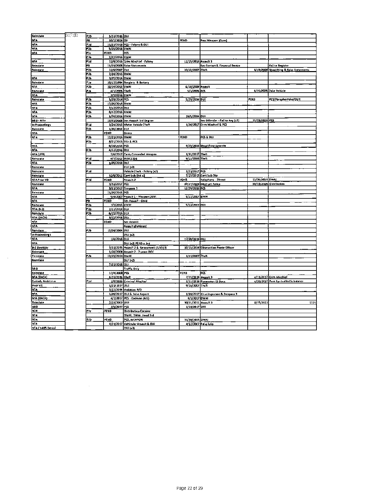| Reinstate               | (B)(T)(E) | Pzb              | 3/33/2016 001    |                                            |                      |                                      |                 |                                          |
|-------------------------|-----------|------------------|------------------|--------------------------------------------|----------------------|--------------------------------------|-----------------|------------------------------------------|
| <b>NTA</b>              |           | PB               | 10/7/2014 DV     |                                            | PEND                 | Post Weapon (Guns)                   |                 |                                          |
| <b>NTA</b>              |           | PId              |                  | 11/21/2016 PCS - Felony & OUI              |                      |                                      |                 |                                          |
| NTA                     |           | f2b              | 5/25/2016 BWA    |                                            |                      |                                      |                 |                                          |
| NTA                     |           | P2c              | FEND             | PCS                                        |                      |                                      |                 |                                          |
|                         |           |                  |                  |                                            |                      |                                      |                 |                                          |
|                         |           | <b>PIL</b>       | 7/27/2016 BWAI   |                                            |                      |                                      |                 |                                          |
| <b>NTA</b>              |           | Pld              |                  | 11/9/2016 Crim Mischlet - Felony           | 11/15/2016 Associ 3  |                                      |                 |                                          |
| <b>Reinstate</b>        |           | РB               |                  | 11/19/2008 False Statements                |                      | Sex Contact & Financial Device       |                 | Fail to Register                         |
| Reinslate               |           | P2b              | 11/6/2007 Birl   |                                            | 10/18/2007 2heft     |                                      |                 | 8/19/2008 Shoplifting & False Suttements |
|                         |           | P <sub>2</sub> b | 2/24/2016 BWAI   |                                            |                      |                                      |                 |                                          |
| <b>NTA</b>              |           | P2b              | 3/25/2014 DWA    |                                            |                      |                                      |                 |                                          |
| Reinstate               |           | Pie              |                  | 10/17/1994 Burglary & Battery              |                      |                                      |                 |                                          |
| <b>NTA</b>              |           | PZb              | 10/14/2018 BWAI  |                                            | 6/10/2009 Assemble   |                                      |                 |                                          |
| Reinstate               |           | - 71             | 4/1/2005 Theft   |                                            | 5/3/2005 PCS         |                                      |                 | 6/15/2005 Zake Vehicle                   |
| <b>NTA</b>              |           |                  | 3/7/2016 BWA     |                                            |                      |                                      |                 |                                          |
| Reinstate               |           | P2b              | 5/29/2014 PCS    |                                            | 5/29/201e But        |                                      | PENB            | PCS/Paraphernalia/DUR                    |
| NTA.                    |           | P <sub>2</sub> h | 12/20/2016 BWAI  |                                            |                      |                                      |                 |                                          |
|                         |           |                  |                  |                                            |                      |                                      |                 |                                          |
| NT4                     |           | Pzh              | 7/17/2013 DUI    |                                            |                      |                                      |                 |                                          |
| ИA                      |           | P2b              | 6/17/2016 AWAI   |                                            |                      |                                      |                 |                                          |
| <b>NTA</b>              |           | P2h              | 5/24/2016 DWA    |                                            | 10/5/2004 0UI        |                                      |                 |                                          |
| 888 - MTe               |           |                  |                  | 12/22/2008 Sex Assist and Degree           |                      | Sex Offender - Fail to Aeg (k2)      | 12/19/2016 PCS  |                                          |
| in Proceedings          |           | B <sub>14</sub>  |                  | 3/24/2016 Motor Vehicle 2heft              |                      | 1/2d/2017 Crim Mischief & PCS        |                 |                                          |
| Reinstate               |           | B <sub>2</sub> b | 1/30/2018   B UI |                                            |                      |                                      |                 |                                          |
| <b>NTA</b>              |           |                  | PEND             | Distro                                     |                      |                                      |                 |                                          |
| <b>NTA</b>              |           | P2b              | 12/21/2016 DWAI  |                                            | PEND                 | PCS & DUI                            |                 |                                          |
|                         |           | P2b              |                  | 8/21/2015 BUI & PCS                        |                      |                                      |                 |                                          |
| NTA                     |           |                  | 6/16/2016 PCS    |                                            |                      | 9/25/2013 Shoptifting-Arvenile       |                 |                                          |
| <b>MTA</b>              |           | B <sub>2</sub> b | 4/12/2016 BUI    |                                            |                      |                                      |                 |                                          |
|                         |           |                  |                  |                                            |                      |                                      |                 |                                          |
| NTA (LPR)               |           |                  |                  | 7/6/2017 Carry Concealed Wespon            | 1/31/2017 Zhelt      |                                      |                 |                                          |
| krinatote               |           | P1d              |                  | 4/7/2012 BUSC1326                          | 9/11/2006 Thelt      |                                      |                 |                                          |
| <b>NTA</b>              |           | P2L              | 1/20/2016 DUI    |                                            |                      |                                      |                 |                                          |
| Reinstate               |           |                  |                  | B U1 [n3]                                  |                      |                                      |                 |                                          |
| Reinstate               |           | P1d              |                  | Uehicle 2 hert - Felony [K2]               | 1/23/2017 PCS        |                                      |                 |                                          |
| Reinslate               |           |                  |                  | 32/9/2011 Cont Sub Dist x2                 | 7/23/2013            | <b>Cent Sub Ditr</b>                 |                 |                                          |
| <b>NTAPriot VD</b>      |           | P <sub>24</sub>  | PEND             | Assolt 2                                   | PERL                 | Telephone - 2hreat                   | 12/16/2019 DWAL |                                          |
| Reinstate               |           |                  | 3/33/2017 PC1    |                                            |                      | 1D/27/2009 Dhstruct Police           |                 | 10/13/2009 Distribution                  |
| <b>NTA</b>              |           |                  |                  | 3/13/2017 Trespass 3                       | 12/29/2016 PCS       |                                      |                 |                                          |
| Reinstate               |           |                  | 11/20/2015 PCS   |                                            |                      |                                      |                 |                                          |
| NTA                     |           |                  |                  | 9/4/2007 * ssault 1 - Weapon (JUV)         | 9/12/2007 BWA        |                                      |                 |                                          |
| <b>NTA</b>              |           | PB               | PERD             | Sex Assuelt - Child                        |                      |                                      |                 |                                          |
|                         |           | P7b              | 1/7/2016 BWAI    |                                            | 5/13/2002 DUI        |                                      |                 |                                          |
| Reinstate               |           |                  |                  |                                            |                      |                                      |                 |                                          |
| MTA (B.2)               |           | P2b              | 2/11/2018 0UI    |                                            |                      |                                      |                 |                                          |
| Remslete                |           | P2h              | 6/15/2016 BUI    |                                            |                      |                                      |                 |                                          |
| <b>NTA (DACA)</b>       |           |                  | 3/12/2016 DUL    |                                            |                      |                                      |                 |                                          |
| <b>NTA</b>              |           |                  | BEND             | Ser Assault                                |                      |                                      |                 |                                          |
| <b>NTA</b>              |           |                  |                  | Assault dhmissed                           |                      |                                      |                 |                                          |
| Reinstate               |           | P2b              | 12/26/2004 DUI   |                                            |                      |                                      |                 |                                          |
| In Proceedings          |           |                  |                  | DU1 [12]                                   |                      |                                      |                 |                                          |
| <b>NTA</b>              |           |                  | 1/4/2016         | DU1                                        | 12/20/2016 DUI       |                                      |                 |                                          |
| <b>NTA</b>              |           |                  |                  | DUI (x2) PEND a 3rd                        |                      |                                      |                 |                                          |
| <b>B-2 Overslay</b>     |           |                  |                  | 3/13/2035 Assault 2 & Harassment (JUV) (F) |                      | 10/15/2814 Obteruction Peace Officer |                 |                                          |
| Reimtate                |           |                  |                  | 1/16/2008 Assault 2 - 7 years DOC          |                      |                                      |                 |                                          |
| <b>Rondale</b>          |           | PZb              | 12/15/2014 DWAI  |                                            | 1/21/2007 2heR       |                                      |                 |                                          |
|                         |           |                  |                  |                                            |                      |                                      |                 |                                          |
| Reinstate               |           |                  |                  | DU(2)                                      |                      |                                      |                 |                                          |
|                         |           |                  | 7/21/2016 001    |                                            |                      |                                      |                 |                                          |
| 880                     |           |                  |                  | <b>Traffic Only</b>                        |                      |                                      |                 |                                          |
| Reinstele               |           |                  | 12/4/2008 PCS    |                                            | PENB                 | PCS.                                 |                 |                                          |
| MTA (DACA)              |           |                  | 6/29/2036 Theft  |                                            | 7/15/2818 Annult 3   |                                      |                 | e/11/2017 Crim Mischief                  |
| <b>Custody Aedeterm</b> |           | Pad              |                  | 1/8/2816 Criminal Mischief                 |                      | 1/11/2816 Possession 10 Docs         |                 | e/20/2017 Pass Centrolled Substance      |
| Prior VR                |           |                  | L/21/2817 JDUI   |                                            | 9/16/2002 Theft      |                                      |                 |                                          |
| NTA                     |           |                  |                  | 3/12/2034 Violation P/O                    |                      |                                      |                 |                                          |
| MTA                     |           |                  |                  | 1/20/2017 DUI & Fehe Aeport                |                      | 1/20/2017 Etim Imperson & Prespass 3 |                 |                                          |
| NTA (DACA)              |           |                  |                  | 4/3/2017 PCS - Codeine (M1)                | 4/3/2017 DWAI        |                                      |                 |                                          |
| Reinstale               |           |                  | 2/19/2002 BUI    |                                            | 30/31/2011 Asseult 3 |                                      | 8/15/2013       | 1325                                     |
|                         |           |                  |                  |                                            | 1/10/2017 001        |                                      |                 |                                          |
| 840                     |           |                  | 2/5/2037 PCS     |                                            |                      |                                      |                 |                                          |
| N2R                     |           | P2c              | PENB             | Distribution Cocaine                       |                      |                                      |                 |                                          |
| NT4                     |           |                  |                  | DWAL, DWA), Pend 3rd                       |                      |                                      |                 |                                          |
| i H2A                   |           | B <sub>2</sub> b | PE#D             | PCS, WEAPON                                | 31/30/2015 DWAI      |                                      |                 |                                          |
| <b>NTA</b>              |           |                  |                  | 4/24/2017 Vehicular Assault & DUI          |                      | 4/12/2007 Fata Inlo                  |                 |                                          |
| NT4 / I-405 Denial      |           |                  |                  |                                            |                      |                                      |                 |                                          |

 $\sim$ 

 $\mathcal{L}(\mathcal{L}^{\mathcal{L}})$  and  $\mathcal{L}^{\mathcal{L}}$  and  $\mathcal{L}^{\mathcal{L}}$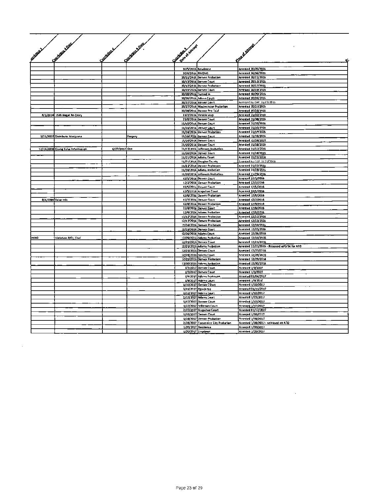|                   | Construction Davis                 |               | Control & Dave |                                 |                                                           | First of August                                   |
|-------------------|------------------------------------|---------------|----------------|---------------------------------|-----------------------------------------------------------|---------------------------------------------------|
| <b>Millough A</b> |                                    | Contrators &  |                | Due of Assembly<br>Controller - |                                                           |                                                   |
|                   |                                    |               |                |                                 |                                                           |                                                   |
|                   |                                    |               |                |                                 |                                                           |                                                   |
|                   |                                    |               |                |                                 |                                                           |                                                   |
|                   |                                    |               |                | 10/5/2016 Reudence              |                                                           | Arrested 10/05/2016                               |
|                   |                                    |               |                | 10/6/2016 RMOMS                 | 10/11/24t6 Denver Probation                               | Arrested 14/06/2016<br>Arrested 10/21/2016        |
|                   |                                    |               |                |                                 | 10/13/2016 Denver Court                                   | Arrested 10/13/2016                               |
|                   |                                    |               |                |                                 | 10/17/2016 Denver Probation                               | Arrested 10/17/2016                               |
|                   |                                    |               |                |                                 | 10/19/2026 Denver Court                                   | Arrested 10/19/2016                               |
|                   |                                    |               |                | 10/20/2016 Turned In            |                                                           | Arrested 10/20/2016                               |
|                   |                                    |               |                |                                 | 10/26/2016 Adams Court<br>10/27/2016 4th ver Court        | Arrested 10/26/2016<br>Arrested by CAP 10/27/2016 |
|                   |                                    |               |                |                                 | 10/27/2016 Westminster Probation                          | Arrested 10/27/2016                               |
|                   |                                    |               |                |                                 | 10/28/2016 Denver Pre-7nal                                | Arrosted 10/28/2016                               |
|                   | 8/1/2014 1326 (Begal Re-Entry      |               |                |                                 | 11/2/2016 Vehicle stop                                    | Arrested 21/02/2016                               |
|                   |                                    |               |                |                                 | 21/8/2016 Denver Court                                    | Arrested 21/08/2016                               |
|                   |                                    |               |                |                                 | 21/10/2016 Denver Court<br>11/10/2016 Denver Court        | Arrested 21/10/2016<br>Arrested 21/10/2016        |
|                   |                                    |               |                |                                 | 11/14/2016 Denver Probation                               | Arrested I L/14/2026                              |
|                   | 3/21/2007 Distribute Menjuana      |               | Forgery        |                                 | 11/16/2016 Denver Ceurt                                   | Arrested 11/16/2016                               |
|                   |                                    |               |                |                                 | 11/16/2014 Denver Ceurt                                   | Arrested t2/16/2016                               |
|                   |                                    |               |                |                                 | 21/15/2016 Denver Ceurt                                   | Mrested 11/16/2016                                |
|                   | 12/12/2008 Giving Fahe Information | 6/27/2002 OUI |                |                                 | 21/17/2016 Jefferson Probetten<br>11/10/2016 Genver Court | Arrested 11/17/2016<br>Arrested 11/18/2016        |
|                   |                                    |               |                |                                 | 11/21/2016 Adams Court                                    | Arrested 11/21/2014                               |
|                   |                                    |               |                |                                 | 11/21/2016 Qouglas County                                 | Arrested by CAP 11/21/2016                        |
|                   |                                    |               |                |                                 | 11/22/2016 Denver Prebation                               | Arrested \$1/22/2016                              |
|                   |                                    |               |                |                                 | 11/28/2016 Adams orobation                                | Arrested 11/20/2016                               |
|                   |                                    |               |                |                                 | 11/29/2016 Riferson Probation                             | Arrested 11/29/2016                               |
|                   |                                    |               |                |                                 | 12/1/2016 Denver Court<br>12/2/2014 Genver Probation      | Arrested 12/1/2016<br>Arrested 12/2/2016          |
|                   |                                    |               |                |                                 | t2/5/2016 Ornver Ceurt                                    | Arrested 12/5/2016                                |
|                   |                                    |               |                |                                 | t3/5/2016 Arapahoe Court                                  | Arrested 12/5/2016                                |
|                   |                                    |               |                |                                 | t2/6/2016 Denver Probation                                | Arrested 12/6/2016                                |
|                   | 8/4/1999 False Info                |               |                |                                 | t2/7/2016 Denver Court                                    | Arrested (2/7/2016                                |
|                   |                                    |               |                |                                 | t2/8/2016 Denver Probation<br>12/8/2016 Denver Court      | Arrested 12/0/2016<br>Arrested 12/8/2026          |
|                   |                                    |               |                |                                 | 12/9/2016 Adams Probetion                                 | Artested 12/9/2016                                |
|                   |                                    |               |                |                                 | t1/12/2016 Denver Probation                               | Arrested 12/12/2011                               |
|                   |                                    |               |                |                                 | 12/13/2016 Detwer Probation                               | Arrested 12/13/2016                               |
|                   |                                    |               |                |                                 | 17/14/2016 Denver Probation                               | Arrested 12/14/2016                               |
|                   |                                    |               |                |                                 | 12/15/2016 Denver Court<br>t2/16/2014 Adams Court         | Arrested 12/25/2016<br>Arrested 12/26/2016        |
| <b>CIND</b>       | Violation P/O Civil                |               |                |                                 | 12/29/2016 Adams Probation                                | Arrested 12/19/2016                               |
|                   |                                    |               |                |                                 | 12/21/2016 Denver Court                                   | Arrested 12/21/2016                               |
|                   |                                    |               |                |                                 | 12/21/2016 Adams Prebation                                | Arrested 22/21/2016 - Reteased in/G-56 for ATO    |
|                   |                                    |               |                |                                 | 12/23/2016 Denver Court                                   | Arrested 12/23/2016                               |
|                   |                                    |               |                |                                 | 12/28/2016 Adams Court                                    | Arreste4 12/28/2416                               |
|                   |                                    |               |                |                                 | 12/23/2016 Denver Probation<br>12/30/2016 Adams Prebation | Arrested 12/29/2014<br>Attested 12/30/2016        |
|                   |                                    |               |                |                                 | 1/3/2012 Denver Court                                     | <b>Arrested 1/3/2027</b>                          |
|                   |                                    |               |                |                                 | 1/3/2012 Denver Court                                     | Arrested 1/1/2027                                 |
|                   |                                    |               |                |                                 | L/0/2017 Adams Probauon                                   | Arrested 01/04/2017                               |
|                   |                                    |               |                |                                 | L/9/2017 Adems Court                                      | arrested 1/9/2012                                 |
|                   |                                    |               |                |                                 | 1/10/2017 Genver COurt<br>1/t1/2017 Rendence              | Arrested 1/10/2017<br>Arrested 01/11/2017         |
|                   |                                    |               |                |                                 | 1/12/2017 Adams Court                                     | Arrested 1/12/2017                                |
|                   |                                    |               |                |                                 | 1/13/2017 Adams Court                                     | Arrested 1/23/2017                                |
|                   |                                    |               |                |                                 | 1/17/2012 Denver Court                                    | Arrested 1/17/2017                                |
|                   |                                    |               |                |                                 | t/17/2012 Jelferson CDurt                                 | Arrested 1/17/2017                                |
|                   |                                    |               |                |                                 | 2/17/2017 Arapshoe Court                                  | Arrested 01/17/2027                               |
|                   |                                    |               |                |                                 | 1/10/2017 Denver Court<br>L/18/2012 Denver Probation      | Arrested 1/10/2017<br>Arrested 1/18/2017          |
|                   |                                    |               |                |                                 | 2/18/2017 Commerce City Probation                         | Arrested 1/16/2017 - neloased on A70              |
|                   |                                    |               |                |                                 | 1/20/2017 Residence                                       | Arrested 1/20/2017                                |
|                   |                                    |               |                | L/20/2017   Imployer            |                                                           | Arrested 1/20/2027                                |

 $\mathcal{L}(\mathcal{L})$  and  $\mathcal{L}(\mathcal{L})$  . The  $\mathcal{L}(\mathcal{L})$ 

 $\sim 10^{-10}$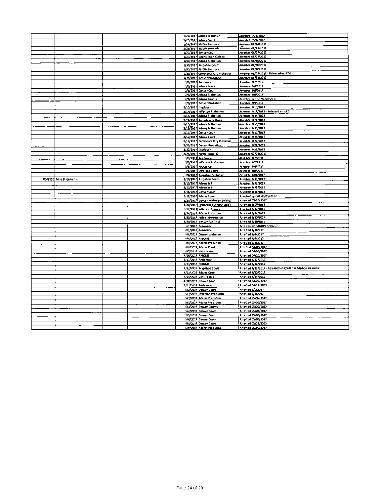|                           |  |                    | 1/23/2017 Adams Probation                              | Arrested 1/23/2012                                        |
|---------------------------|--|--------------------|--------------------------------------------------------|-----------------------------------------------------------|
|                           |  |                    | 1/23/2017 Adams Ceurt                                  | Amesica 1/23/2017                                         |
|                           |  |                    | 1/24/2017 RMOMS-Aurora                                 | Arrested 01/24/2017                                       |
|                           |  |                    | 1/25/1017 RMOMS-Arvada                                 | Arrested 01/25/2012                                       |
|                           |  |                    | 1/27/2012 Denver Court                                 | Arrestad 01/27/2012                                       |
|                           |  |                    | 1/27/2017 Intervention-Golden                          | Arrested 01/23/2012                                       |
|                           |  |                    | 1/30/2017 Adams Prebation                              | Arrested 01/30/2012                                       |
|                           |  |                    | 1/30/2017 Arapahoe Ceurt                               | Arrested 01/30/2012                                       |
|                           |  |                    | 1/30/2017 BMOMS-Aurora                                 | Arrested 01/30/2012                                       |
|                           |  |                    | 1/31/2017 Commerce City Probation                      | Arrested 01/33/2012 - Released en ATO                     |
|                           |  |                    | 1/31/2017 Denver Probation                             | Arrested 01/31/2012                                       |
|                           |  |                    | 2/7/2017 Residence                                     | Avested 2/7/2017                                          |
|                           |  |                    |                                                        |                                                           |
|                           |  |                    | 2/8/2017 Adams Court                                   | <b>Arrested 2/8/2017</b>                                  |
|                           |  |                    | 2/8/2017 Denver Court                                  | Arrested 2/8/2017                                         |
|                           |  |                    | 2/8/2017 Adams Prebation                               | Arrested 2/8/2017                                         |
|                           |  |                    | 2/8/2017 Adams County                                  | Arrested by CAP 02/08/2017                                |
|                           |  |                    | 2/9/2017 Denver Probation                              | Arc ried 2/3/2017                                         |
|                           |  | 2/10/2017 Employer |                                                        | Arrested 2/10/2017                                        |
|                           |  |                    | 2/14/2017 Reflerson Prabation                          | Arrested 2/14/2012 - Refeased en ATO                      |
|                           |  |                    | 2/14/2027 Adams Pr4bation                              | Arrested 2/14/2012                                        |
|                           |  |                    | 2/14/2017 Arapahoe Probattan                           | Arrested 2/14/2012                                        |
|                           |  |                    | 2/15/2017 adams Prabation                              | Arrested 2/15/2012                                        |
|                           |  |                    | 2/15/2017 Adams Pr4bation                              | Arrested 7/15/2012                                        |
|                           |  |                    | 2/17/2017 Denver Court                                 | Arrested 2/17/2012                                        |
|                           |  |                    | 2/12/2017 Adams Court                                  | Arrested 1/17/2017                                        |
|                           |  |                    | 2/17/2017 Cemmerce City Prebation                      | Arrested 3/17/2017                                        |
|                           |  |                    | 2/21/7017 Denver Probation                             | <b>Arrested 2/21/2012</b>                                 |
|                           |  |                    | 2/22/2017 Employer                                     | Arrested 2/21/2012                                        |
|                           |  |                    | 2/24/2017 Portor Hospital                              | Arrasted 02/24/2017                                       |
|                           |  |                    | 3/2/2017 Residence                                     | Arrasted 3/2/2017                                         |
|                           |  |                    | 3/2/2017 lefterson Probelian                           | Arrested 3/2/2017                                         |
|                           |  |                    | 3/6/2017 Residence                                     | Arrested 3/6/2017                                         |
|                           |  |                    | 3/4/2017 lefterson Court                               | Arrested 3/6/2017                                         |
|                           |  |                    | 3/8/2017 Arapahoe Prebation                            | Arrested 3/08/2017                                        |
| 3/3/2020 False Statements |  |                    | 3/10/2017 Arapahoe Ceurt                               | Arrested 3/10/2017                                        |
|                           |  |                    |                                                        |                                                           |
|                           |  |                    |                                                        |                                                           |
|                           |  |                    | 3/13/2017 Adams Jail                                   | Arrested 3/13/2017                                        |
|                           |  |                    | 3/13/2017 Adams Jail                                   | Arrested 3/13/2017                                        |
|                           |  |                    | 3/16/2017 Denver Court                                 | Arrested 3/16/2012                                        |
|                           |  |                    | 3/15/2037 Adams Court                                  | Arrested by CAP 03/15/2017                                |
|                           |  |                    | 3/20/2017 Denver Probation (I4bby)                     | Arrested 03/20/2017                                       |
|                           |  |                    | 3/20/2017 Residence (V4hicle Stop)                     | Arrested 3/20/2017                                        |
|                           |  |                    | 3/12/2017 Jefferson County                             | Arrested 3/17/2017                                        |
|                           |  |                    | 3/24/2017 Adams Probation                              | Arrested 3/24/2017                                        |
|                           |  |                    | 3/30/2017 Jeffce Intervention                          | Arrested 3/20/2017                                        |
|                           |  |                    | 3/30/2017 Denver Pre-Trial                             | Arrested 3/30/2017                                        |
|                           |  |                    | 1/1/2017 Residence                                     | Arrested by FUGOPS 4/01/17                                |
|                           |  |                    | 0/1/2017 Aeuderce                                      | Arrested 4/1/2017                                         |
|                           |  |                    | #/#/2017 Denver prebation                              | Arrested 4/4/2017                                         |
|                           |  |                    | 6/3/2017 RMOMS                                         | Arrested 4/4/2012                                         |
|                           |  |                    | 4/0/2017 Adams Prabotion                               | Arrested 4/4/2017                                         |
|                           |  |                    | 4/6/2022 Adams Court                                   | Arrested 04/06/2017                                       |
|                           |  |                    | 4/7/2017 Vehicle step                                  | Arrested 04/07/2017                                       |
|                           |  | 4/10/2017 RMOMS    |                                                        | Arrested 04/10/2017                                       |
|                           |  |                    | 4/11/2017 Residence                                    | Arrested 4/11/2017                                        |
|                           |  | 4/11/2017 RMOMS    |                                                        | Arrested 4/11/2017                                        |
|                           |  |                    | 0/12/2017 Arepahoe Court                               | Arrested 4/12/2017 - Released en OSUP for Medical Reasons |
|                           |  |                    | 4/13/2027 Adams Court                                  | Arrested 4/13/2017                                        |
|                           |  |                    | 4/14/2017 Vehicle step                                 | Arrested 4/14/2017                                        |
|                           |  |                    | 4/20/2017 Denver C4urt                                 | Arrested 04/20/2012                                       |
|                           |  |                    |                                                        |                                                           |
|                           |  |                    | 0/21/2017 Residence                                    | Arrested 04/21/2017                                       |
|                           |  |                    | 5/2/2017 Denver Court<br>5/3/2017 Jeffer ion Prebation | Arrested 5/2/2017                                         |
|                           |  |                    |                                                        | Arrested 5/2/2017                                         |
|                           |  |                    | 5/2/2017 Adams Prebatton                               | Arrested 05/02/2017                                       |
|                           |  |                    | 5/3/2017 Adams Prebation                               | Arrested 05/03/2017                                       |
|                           |  |                    | 5/2/2017 Denver County                                 | Arrested 05/02/2012                                       |
|                           |  |                    | 5/4/2017 Denver Caurt                                  | Arrested 05/04/2012                                       |
|                           |  |                    | 5/5/2017 Denver Caurt                                  | Arrested 05/05/2017                                       |
|                           |  |                    | 5/8/2017 Oenver Caurt                                  | Arrested 05/08/2012                                       |
|                           |  |                    | 5/8/2017 Denver Court<br>5/9/2017 Adams Probation      | Arrested 05/08/2012<br>Arrested 05/09/2017                |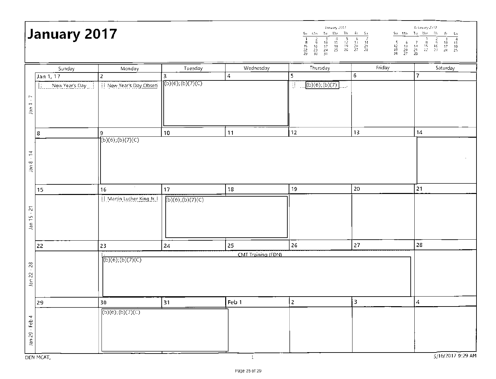# **,** ma Tu Vic in 77 ST <sup>s</sup> 1 2 8 4 5 (7 7 8 9 10 1 7 12 11 171 5. 6 7 11 11 19 11 <sup>1</sup> <sup>5</sup><sup>7</sup>16 17 171 11/ 51/ 21 12 1 i 4 15 16 17 10 22 23 271 25 26 27 23 , 19 20 7 <sup>1</sup>2: 21 271 25 29 30 31 26 27 33 133733 .9:7 **February 2017 January 2017**   $Fr = Sa$ Sunday | Monday | Tuesday | Wednesday | Thursday | Friday | Saturday Jan 1, 17 2 3 3 4 5 6 7 1: New Year's Day  $\frac{1}{2}$  New Year's Day Obsen  $\left[\frac{(b)(6)(b)(7)(c)}{(b)(7)(c)}\right]$  (b)(6);(b)(7) Jan 29 - Feb 4 Jan 22 - 28 Jan 15 - 21 Jan 8 - 14 Jan 1 • 7  $1$ an 1 - 7 8 9 10 11 12 13 13  $(b)(6)$ ; (b)(7)(C)  $1a<sub>1</sub>$  8  $-14$ 15 | 16 | 17 | 18 | 19 | 20 | 21 | 21  $1$  Martin, Luther King Jr.  $\left| \right|$  (b)(6); (b)(7)(C) Jan 15 - 21 22 23 24 25 26 27 28 CMT Training (FDN)  $(b)(6)$ ; (b)(7)(C) Jan 22 - 28 29 30 31 Feb 1 2 3 3 4  $(b)(6)$ ; (b)(7)(C) Jan 29 - Feb 4 DEN MCAT,  $5/16/20179:29$  AM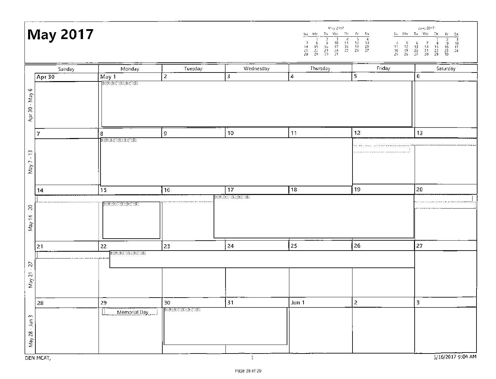|                                    | <b>May 2017</b> |                                                                                                                                                                                                                                                                                                                         |                                                       |                            | May 2017                | $\begin{array}{c} 4 \\ 11 \\ 18 \\ 25 \end{array}$ | June 2017<br>$Su = Ma = Tu - Vfe = 7h$<br>$F_1 = S_0$<br>$\frac{2}{9} = \frac{3}{10}$<br>$\frac{16}{23} = \frac{17}{24}$<br>$\frac{23}{30} = \frac{24}{30}$<br>÷<br>$\frac{8}{15}$<br>$\frac{22}{29}$<br>$\frac{5}{12}$<br>$\frac{12}{19}$<br>$\frac{19}{26}$<br>$\begin{array}{ccc} & 6 & -7 \\ -13 & -13 \\ 20 & -21 \\ 27 & -23 \end{array}$ |
|------------------------------------|-----------------|-------------------------------------------------------------------------------------------------------------------------------------------------------------------------------------------------------------------------------------------------------------------------------------------------------------------------|-------------------------------------------------------|----------------------------|-------------------------|----------------------------------------------------|-------------------------------------------------------------------------------------------------------------------------------------------------------------------------------------------------------------------------------------------------------------------------------------------------------------------------------------------------|
|                                    | Sunday          | Monday                                                                                                                                                                                                                                                                                                                  | Tuesday                                               | Wednesday                  | Thursday                | Friday                                             | Saturday                                                                                                                                                                                                                                                                                                                                        |
| Apr $30$                           |                 | May 1                                                                                                                                                                                                                                                                                                                   | $\overline{z}$                                        | 3                          | $\overline{\mathbf{4}}$ | 5                                                  | $\bf 6$                                                                                                                                                                                                                                                                                                                                         |
| ç<br>- May -<br>Apr 30             |                 | $E_{\rm 2}(6)(0)E_{\rm 2}(0)(0)E_{\rm 2}(0)E_{\rm 2}(0)E_{\rm 2}(0)E_{\rm 2}(0)E_{\rm 2}(0)E_{\rm 2}(0)E_{\rm 2}(0)E_{\rm 2}(0)E_{\rm 2}(0)E_{\rm 2}(0)E_{\rm 2}(0)E_{\rm 2}(0)E_{\rm 2}(0)E_{\rm 2}(0)E_{\rm 2}(0)E_{\rm 2}(0)E_{\rm 2}(0)E_{\rm 2}(0)E_{\rm 2}(0)E_{\rm 2}(0)E_{\rm 2}(0)E_{\rm 2}(0)$                |                                                       |                            |                         |                                                    |                                                                                                                                                                                                                                                                                                                                                 |
| 7                                  |                 | 8                                                                                                                                                                                                                                                                                                                       | 9                                                     | $10\,$                     | 11                      | 12                                                 | 13                                                                                                                                                                                                                                                                                                                                              |
|                                    |                 | $\mathbb{G}(\mathfrak{b};\mathfrak{b})\backslash\{0\};\mathfrak{b}\backslash\{1\};\mathbb{B})$                                                                                                                                                                                                                          |                                                       |                            |                         |                                                    |                                                                                                                                                                                                                                                                                                                                                 |
| $\mathbb{C}$<br>$\bullet$<br>May 7 |                 |                                                                                                                                                                                                                                                                                                                         |                                                       |                            |                         | ,,,,,,,,,,,,,,,,,,,,,,,,,,,,,,,,,                  |                                                                                                                                                                                                                                                                                                                                                 |
| 14                                 |                 | 15                                                                                                                                                                                                                                                                                                                      | 16                                                    | 17                         | 18                      | 19                                                 | 20                                                                                                                                                                                                                                                                                                                                              |
| $\gtrsim$<br>$\sim$<br>May 14      |                 | $E_{1}(6);E_{2}(7);E_{1}(6);E_{2}(7);E_{3}(8);E_{4}(9);E_{5}(16);E_{6}(16);E_{7}(16);E_{8}(16);E_{9}(16);E_{10}(16);E_{11}(16);E_{12}(16);E_{13}(16);E_{14}(16);E_{15}(16);E_{16}(16);E_{17}(16);E_{18}(16);E_{19}(16);E_{10}(16);E_{11}(16);E_{12}(16);E_{13}(16);E_{14}(16);E_{15}(16);E_{16}(16);E_{17}(16);E_{18}($ |                                                       | (b)(6);(b){}}(C);(b){}}(E) |                         |                                                    |                                                                                                                                                                                                                                                                                                                                                 |
| 21                                 |                 | 22                                                                                                                                                                                                                                                                                                                      | 23                                                    | 24                         | 25                      | 26                                                 | 27                                                                                                                                                                                                                                                                                                                                              |
| 27<br>$\sim$<br>May 21             |                 | (b)(6);(b)(D);(D);(b)(D)E)                                                                                                                                                                                                                                                                                              |                                                       |                            |                         |                                                    |                                                                                                                                                                                                                                                                                                                                                 |
| 28                                 |                 | 29                                                                                                                                                                                                                                                                                                                      | 30                                                    | 31                         | Jun 1                   | 2                                                  | 3                                                                                                                                                                                                                                                                                                                                               |
| May 28 - Jun 3<br>DEN MCAT,        |                 | L<br>Memorial Day                                                                                                                                                                                                                                                                                                       | $\textcolor{blue}{\textbf{(b)(6)(b)(7)(C)(b)(7)(E)}}$ |                            |                         |                                                    | 5/16/2017 9:04 AM                                                                                                                                                                                                                                                                                                                               |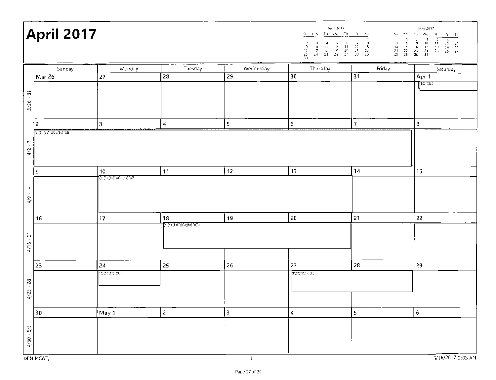|                                                    | April 2017                                                                                        |                                  |                                          | April 2017<br>May 2017.<br>$\underline{\text{Su}}$ $\underline{\text{Mo}}$ $\underline{\text{Tu}}$ $\underline{\text{We}}$ $\underline{\text{Th}}$ $\underline{\text{Fr}}$ $\underline{\text{S}}_1$<br>$\underline{Su+Mo+Tu+We+Th}=\underline{F}f+\underline{S}f$<br>$\begin{array}{ c c c c c }\hline &1&2&3&4&5\\ \hline &7&8&9&10&11&12\\ \hline 14&15&16&17&18&19\\ 21&22&23&24&25&26\\ 22&29&36&31&\\ \hline \end{array}$<br>$\begin{array}{c}\n\overline{6} \\ 13 \\ 20 \\ 27\n\end{array}$<br>$\begin{array}{cccccc} & 3 & -4 & -5 & 6 & 7 & -8 \\ 10 & -11 & -12 & -13 & -34 & -15 \\ 17 & -18 & -19 & -20 & -21 & -22 \\ 24 & -25 & -26 & -27 & -28 & -29 \end{array}$<br>$\frac{2}{9}$<br>$\frac{16}{23}$<br>$\frac{23}{30}$ |                  |                |                          |
|----------------------------------------------------|---------------------------------------------------------------------------------------------------|----------------------------------|------------------------------------------|----------------------------------------------------------------------------------------------------------------------------------------------------------------------------------------------------------------------------------------------------------------------------------------------------------------------------------------------------------------------------------------------------------------------------------------------------------------------------------------------------------------------------------------------------------------------------------------------------------------------------------------------------------------------------------------------------------------------------------------|------------------|----------------|--------------------------|
|                                                    | Sunday                                                                                            | Monday                           | Tuesday                                  | Wednesday                                                                                                                                                                                                                                                                                                                                                                                                                                                                                                                                                                                                                                                                                                                              | Thursday         | Friday         | Saturday                 |
|                                                    | Mar <sub>26</sub>                                                                                 | 27                               | $\overline{28}$                          | 29                                                                                                                                                                                                                                                                                                                                                                                                                                                                                                                                                                                                                                                                                                                                     | 30               | 31             | Apr 1<br>$E(\mathbb{C})$ |
| $\frac{1}{2}$<br>3/26                              |                                                                                                   |                                  |                                          |                                                                                                                                                                                                                                                                                                                                                                                                                                                                                                                                                                                                                                                                                                                                        |                  |                |                          |
|                                                    | 2                                                                                                 | 3                                | $\overline{4}$                           | 5                                                                                                                                                                                                                                                                                                                                                                                                                                                                                                                                                                                                                                                                                                                                      | $\boldsymbol{6}$ | $\overline{7}$ | 8                        |
| r<br>$\mathbf{H}$<br>$\mathfrak{Z}^{\mathfrak{t}}$ | $\overline{(\mathbf{b})(\mathbf{b})(\mathbf{b})(\mathbf{b})(\mathbf{b})(\mathbf{b})(\mathbf{b})}$ |                                  |                                          |                                                                                                                                                                                                                                                                                                                                                                                                                                                                                                                                                                                                                                                                                                                                        |                  |                |                          |
|                                                    | 9                                                                                                 | 10<br>$E(E;E) = E(E;E) = E(E;E)$ | 11                                       | 12                                                                                                                                                                                                                                                                                                                                                                                                                                                                                                                                                                                                                                                                                                                                     | 13               | 14             | 15                       |
| $\frac{1}{\pi}$<br>$\frac{Q}{T}$                   |                                                                                                   |                                  |                                          |                                                                                                                                                                                                                                                                                                                                                                                                                                                                                                                                                                                                                                                                                                                                        |                  |                |                          |
|                                                    | 16                                                                                                | 17                               | 18                                       | 19                                                                                                                                                                                                                                                                                                                                                                                                                                                                                                                                                                                                                                                                                                                                     | 20               | 21             | 22                       |
| $-21$<br>4/16                                      |                                                                                                   |                                  | $E(G;E)\backslash E(G;E)\backslash E(E)$ |                                                                                                                                                                                                                                                                                                                                                                                                                                                                                                                                                                                                                                                                                                                                        |                  |                |                          |
|                                                    | 23                                                                                                | 24                               | 25                                       | 26                                                                                                                                                                                                                                                                                                                                                                                                                                                                                                                                                                                                                                                                                                                                     | 27               | 28             | 29                       |
| $4/23 - 28$                                        |                                                                                                   | $E_{\rm 2}^{(6)}(0;1)$           |                                          |                                                                                                                                                                                                                                                                                                                                                                                                                                                                                                                                                                                                                                                                                                                                        | (E)(6)(E)(E)(C)  |                |                          |
|                                                    | 30                                                                                                | May 1                            | $\overline{2}$                           | 3                                                                                                                                                                                                                                                                                                                                                                                                                                                                                                                                                                                                                                                                                                                                      | $\boldsymbol{4}$ | 5              | 6                        |
| $4/30 - 5/5$                                       | DEN MCAT,                                                                                         |                                  |                                          | $\,$ 1 $\,$                                                                                                                                                                                                                                                                                                                                                                                                                                                                                                                                                                                                                                                                                                                            |                  |                | 5/16/2017 9:05 AM        |

Page 27 of 29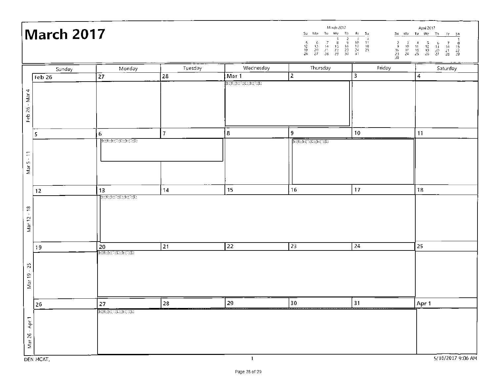|                | March 2017 |                                                                                                 |                | March 2017<br>April 2017<br>Su Mo Tu We Th<br>Su Mo Tu We Th Fr Sa<br>$\begin{array}{cccccc} \text{Tu} & \text{We} & \text{Th} & \text{Fr} & \text{Sa} \\ \hline & 3 & 2 & 3 & 4 \\ \hline 7 & 8 & 9 & 40 & 11 \\ 14 & 15 & 46 & 17 & 18 \\ \end{array}$<br>$\frac{15}{20}$<br>$\frac{20}{27}$<br>$\frac{5}{12}$<br>$\frac{12}{26}$<br>$\begin{array}{cccc} 2&3&4&5\\ 9&10&11&12\\ 16&17&16&19\\ 23&24&25&26\\ 30&&&&&&&&&\end{array}$<br>$\frac{7}{21}$<br>$\frac{21}{28}$<br>$\frac{6}{13}$<br>$\frac{13}{27}$<br>$\frac{15}{22}$ |                                                                                    |        |                   |
|----------------|------------|-------------------------------------------------------------------------------------------------|----------------|-------------------------------------------------------------------------------------------------------------------------------------------------------------------------------------------------------------------------------------------------------------------------------------------------------------------------------------------------------------------------------------------------------------------------------------------------------------------------------------------------------------------------------------|------------------------------------------------------------------------------------|--------|-------------------|
|                | Sunday     | Monday                                                                                          | Tuesday        | Wednesday                                                                                                                                                                                                                                                                                                                                                                                                                                                                                                                           | Thursday                                                                           | Friday | Saturday          |
|                | $Feb$ 26   | 27                                                                                              | 28             | Mar 1                                                                                                                                                                                                                                                                                                                                                                                                                                                                                                                               | $\overline{2}$                                                                     | 3      | 4                 |
|                |            |                                                                                                 |                | (b)(6);(b)(C);(C);(b)(C)(E)                                                                                                                                                                                                                                                                                                                                                                                                                                                                                                         |                                                                                    |        |                   |
| Feb 26 - Mar 4 |            |                                                                                                 |                |                                                                                                                                                                                                                                                                                                                                                                                                                                                                                                                                     |                                                                                    |        |                   |
|                |            |                                                                                                 |                |                                                                                                                                                                                                                                                                                                                                                                                                                                                                                                                                     |                                                                                    |        |                   |
|                |            |                                                                                                 |                |                                                                                                                                                                                                                                                                                                                                                                                                                                                                                                                                     |                                                                                    |        |                   |
|                | 5          | $6\phantom{.}$                                                                                  | $\overline{7}$ | 8                                                                                                                                                                                                                                                                                                                                                                                                                                                                                                                                   | 9                                                                                  | 10     | 11                |
|                |            | $[\mathbb{B}(\mathbb{G});\mathbb{B}(\mathbb{G})(\mathbb{G});\mathbb{B})(\mathbb{G})\mathbb{E})$ |                |                                                                                                                                                                                                                                                                                                                                                                                                                                                                                                                                     | $\overline{\mathbb{(b)(6)(b)(\mathbb{C})(\mathbb{C})(b)(\mathbb{C})(\mathbb{E})}}$ |        |                   |
|                |            |                                                                                                 |                |                                                                                                                                                                                                                                                                                                                                                                                                                                                                                                                                     |                                                                                    |        |                   |
| Mar $5 - 11$   |            |                                                                                                 |                |                                                                                                                                                                                                                                                                                                                                                                                                                                                                                                                                     |                                                                                    |        |                   |
|                |            |                                                                                                 |                |                                                                                                                                                                                                                                                                                                                                                                                                                                                                                                                                     |                                                                                    |        |                   |
|                |            |                                                                                                 |                |                                                                                                                                                                                                                                                                                                                                                                                                                                                                                                                                     |                                                                                    |        |                   |
|                | 12         | 13<br>(b)(6);(b)(D)(C);(b)(D)(E)                                                                | 14             | 15                                                                                                                                                                                                                                                                                                                                                                                                                                                                                                                                  | 16                                                                                 | 17     | 18                |
|                |            |                                                                                                 |                |                                                                                                                                                                                                                                                                                                                                                                                                                                                                                                                                     |                                                                                    |        |                   |
| Mar 12 - 18    |            |                                                                                                 |                |                                                                                                                                                                                                                                                                                                                                                                                                                                                                                                                                     |                                                                                    |        |                   |
|                |            |                                                                                                 |                |                                                                                                                                                                                                                                                                                                                                                                                                                                                                                                                                     |                                                                                    |        |                   |
|                |            |                                                                                                 |                |                                                                                                                                                                                                                                                                                                                                                                                                                                                                                                                                     |                                                                                    |        |                   |
|                | 19         | 20                                                                                              | 21             | 22                                                                                                                                                                                                                                                                                                                                                                                                                                                                                                                                  | 23                                                                                 | 24     | 25                |
|                |            | (b)(6);(b)(D)(C);(b)(D)(E)                                                                      |                |                                                                                                                                                                                                                                                                                                                                                                                                                                                                                                                                     |                                                                                    |        |                   |
|                |            |                                                                                                 |                |                                                                                                                                                                                                                                                                                                                                                                                                                                                                                                                                     |                                                                                    |        |                   |
| Mar 19 - 25    |            |                                                                                                 |                |                                                                                                                                                                                                                                                                                                                                                                                                                                                                                                                                     |                                                                                    |        |                   |
|                |            |                                                                                                 |                |                                                                                                                                                                                                                                                                                                                                                                                                                                                                                                                                     |                                                                                    |        |                   |
|                |            |                                                                                                 |                |                                                                                                                                                                                                                                                                                                                                                                                                                                                                                                                                     |                                                                                    |        |                   |
|                | 26         | 27                                                                                              | 28             | 29                                                                                                                                                                                                                                                                                                                                                                                                                                                                                                                                  | 30                                                                                 | 31     | Apr <sub>1</sub>  |
|                |            |                                                                                                 |                |                                                                                                                                                                                                                                                                                                                                                                                                                                                                                                                                     |                                                                                    |        |                   |
| Mar 26 - Apr 1 |            |                                                                                                 |                |                                                                                                                                                                                                                                                                                                                                                                                                                                                                                                                                     |                                                                                    |        |                   |
|                |            |                                                                                                 |                |                                                                                                                                                                                                                                                                                                                                                                                                                                                                                                                                     |                                                                                    |        |                   |
|                |            |                                                                                                 |                |                                                                                                                                                                                                                                                                                                                                                                                                                                                                                                                                     |                                                                                    |        |                   |
|                | DEN MCAT,  |                                                                                                 |                | $\mathbf{1}$                                                                                                                                                                                                                                                                                                                                                                                                                                                                                                                        |                                                                                    |        | 5/16/2017 9:06 AM |